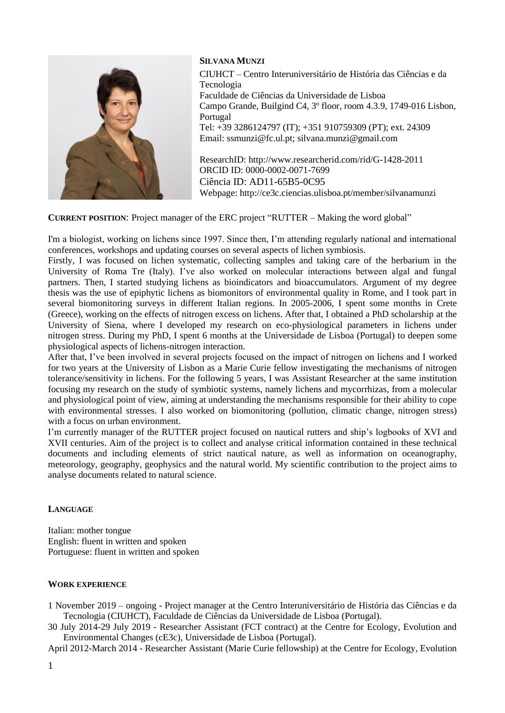

## **SILVANA MUNZI**

CIUHCT – Centro Interuniversitário de História das Ciências e da Tecnologia Faculdade de Ciências da Universidade de Lisboa Campo Grande, Builgind C4, 3º floor, room 4.3.9, 1749-016 Lisbon, Portugal Tel: +39 3286124797 (IT); +351 910759309 (PT); ext. 24309 Email: ssmunzi@fc.ul.pt; silvana.munzi@gmail.com

ResearchID: http://www.researcherid.com/rid/G-1428-2011 ORCID ID: 0000-0002-0071-7699 Ciência ID: AD11-65B5-0C95 Webpage: http://ce3c.ciencias.ulisboa.pt/member/silvanamunzi

# **CURRENT POSITION:** Project manager of the ERC project "RUTTER – Making the word global"

I'm a biologist, working on lichens since 1997. Since then, I'm attending regularly national and international conferences, workshops and updating courses on several aspects of lichen symbiosis.

Firstly, I was focused on lichen systematic, collecting samples and taking care of the herbarium in the University of Roma Tre (Italy). I've also worked on molecular interactions between algal and fungal partners. Then, I started studying lichens as bioindicators and bioaccumulators. Argument of my degree thesis was the use of epiphytic lichens as biomonitors of environmental quality in Rome, and I took part in several biomonitoring surveys in different Italian regions. In 2005-2006, I spent some months in Crete (Greece), working on the effects of nitrogen excess on lichens. After that, I obtained a PhD scholarship at the University of Siena, where I developed my research on eco-physiological parameters in lichens under nitrogen stress. During my PhD, I spent 6 months at the Universidade de Lisboa (Portugal) to deepen some physiological aspects of lichens-nitrogen interaction.

After that, I've been involved in several projects focused on the impact of nitrogen on lichens and I worked for two years at the University of Lisbon as a Marie Curie fellow investigating the mechanisms of nitrogen tolerance/sensitivity in lichens. For the following 5 years, I was Assistant Researcher at the same institution focusing my research on the study of symbiotic systems, namely lichens and mycorrhizas, from a molecular and physiological point of view, aiming at understanding the mechanisms responsible for their ability to cope with environmental stresses. I also worked on biomonitoring (pollution, climatic change, nitrogen stress) with a focus on urban environment.

I'm currently manager of the RUTTER project focused on nautical rutters and ship's logbooks of XVI and XVII centuries. Aim of the project is to collect and analyse critical information contained in these technical documents and including elements of strict nautical nature, as well as information on oceanography, meteorology, geography, geophysics and the natural world. My scientific contribution to the project aims to analyse documents related to natural science.

# **LANGUAGE**

Italian: mother tongue English: fluent in written and spoken Portuguese: fluent in written and spoken

# **WORK EXPERIENCE**

- 1 November 2019 ongoing Project manager at the Centro Interuniversitário de História das Ciências e da Tecnologia (CIUHCT), Faculdade de Ciências da Universidade de Lisboa (Portugal).
- 30 July 2014-29 July 2019 Researcher Assistant (FCT contract) at the Centre for Ecology, Evolution and Environmental Changes (cE3c), Universidade de Lisboa (Portugal).

April 2012-March 2014 - Researcher Assistant (Marie Curie fellowship) at the Centre for Ecology, Evolution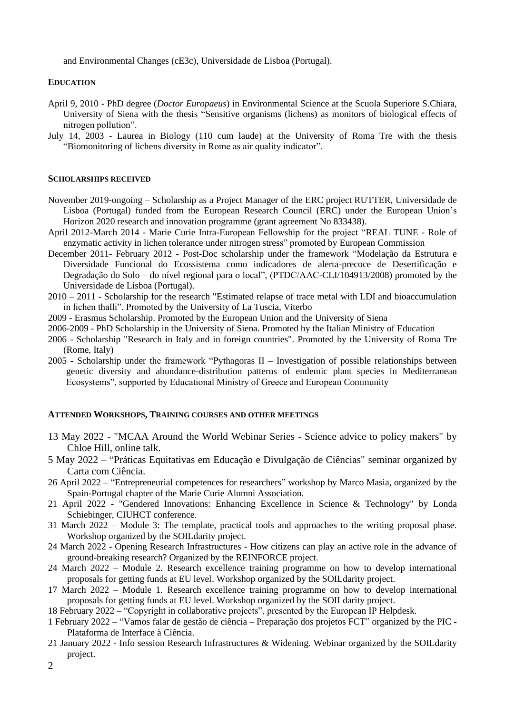and Environmental Changes (cE3c), Universidade de Lisboa (Portugal).

#### **EDUCATION**

- April 9, 2010 PhD degree (*Doctor Europaeus*) in Environmental Science at the Scuola Superiore S.Chiara, University of Siena with the thesis "Sensitive organisms (lichens) as monitors of biological effects of nitrogen pollution".
- July 14, 2003 Laurea in Biology (110 cum laude) at the University of Roma Tre with the thesis "Biomonitoring of lichens diversity in Rome as air quality indicator".

#### **SCHOLARSHIPS RECEIVED**

- November 2019-ongoing Scholarship as a Project Manager of the ERC project RUTTER, Universidade de Lisboa (Portugal) funded from the European Research Council (ERC) under the European Union's Horizon 2020 research and innovation programme (grant agreement No 833438).
- April 2012-March 2014 Marie Curie Intra-European Fellowship for the project "REAL TUNE Role of enzymatic activity in lichen tolerance under nitrogen stress" promoted by European Commission
- December 2011- February 2012 Post-Doc scholarship under the framework "Modelação da Estrutura e Diversidade Funcional do Ecossistema como indicadores de alerta-precoce de Desertificação e Degradação do Solo – do nível regional para o local", (PTDC/AAC-CLI/104913/2008) promoted by the Universidade de Lisboa (Portugal).
- 2010 2011 Scholarship for the research "Estimated relapse of trace metal with LDI and bioaccumulation in lichen thalli". Promoted by the University of La Tuscia, Viterbo
- 2009 Erasmus Scholarship. Promoted by the European Union and the University of Siena
- 2006-2009 PhD Scholarship in the University of Siena. Promoted by the Italian Ministry of Education
- 2006 Scholarship "Research in Italy and in foreign countries". Promoted by the University of Roma Tre (Rome, Italy)
- 2005 Scholarship under the framework "Pythagoras II Investigation of possible relationships between genetic diversity and abundance-distribution patterns of endemic plant species in Mediterranean Ecosystems", supported by Educational Ministry of Greece and European Community

### **ATTENDED WORKSHOPS, TRAINING COURSES AND OTHER MEETINGS**

- 13 May 2022 "MCAA Around the World Webinar Series Science advice to policy makers" by Chloe Hill, online talk.
- 5 May 2022 "Práticas Equitativas em Educação e Divulgação de Ciências" seminar organized by Carta com Ciência.
- 26 April 2022 "Entrepreneurial competences for researchers" workshop by Marco Masia, organized by the Spain-Portugal chapter of the Marie Curie Alumni Association.
- 21 April 2022 "Gendered Innovations: Enhancing Excellence in Science & Technology" by Londa Schiebinger, CIUHCT conference.
- 31 March 2022 Module 3: The template, practical tools and approaches to the writing proposal phase. Workshop organized by the SOILdarity project.
- 24 March 2022 Opening Research Infrastructures How citizens can play an active role in the advance of ground-breaking research? Organized by the REINFORCE project.
- 24 March 2022 Module 2. Research excellence training programme on how to develop international proposals for getting funds at EU level. Workshop organized by the SOILdarity project.
- 17 March 2022 Module 1. Research excellence training programme on how to develop international proposals for getting funds at EU level. Workshop organized by the SOILdarity project.

18 February 2022 – "Copyright in collaborative projects", presented by the European IP Helpdesk.

- 1 February 2022 "Vamos falar de gestão de ciência Preparação dos projetos FCT" organized by the PIC Plataforma de Interface à Ciência.
- 21 January 2022 Info session Research Infrastructures & Widening. Webinar organized by the SOILdarity project.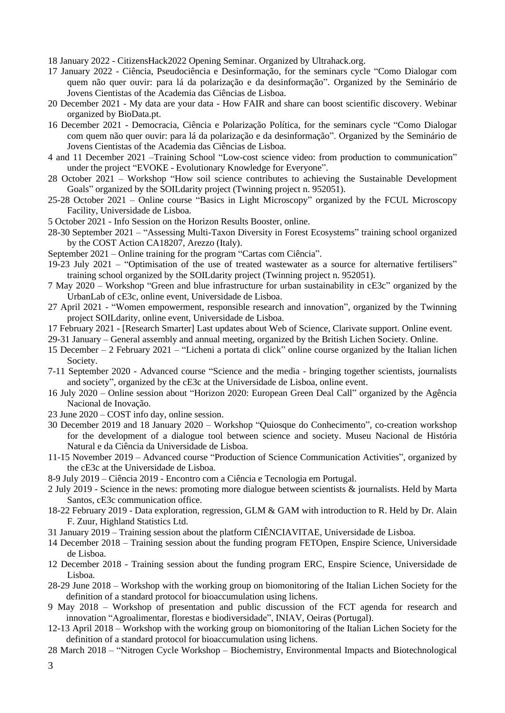- 18 January 2022 CitizensHack2022 Opening Seminar. Organized by Ultrahack.org.
- 17 January 2022 Ciência, Pseudociência e Desinformação, for the seminars cycle "Como Dialogar com quem não quer ouvir: para lá da polarização e da desinformação". Organized by the Seminário de Jovens Cientistas of the Academia das Ciências de Lisboa.
- 20 December 2021 My data are your data How FAIR and share can boost scientific discovery. Webinar organized by BioData.pt.
- 16 December 2021 Democracia, Ciência e Polarização Política, for the seminars cycle "Como Dialogar com quem não quer ouvir: para lá da polarização e da desinformação". Organized by the Seminário de Jovens Cientistas of the Academia das Ciências de Lisboa.
- 4 and 11 December 2021 –Training School "Low-cost science video: from production to communication" under the project "EVOKE - Evolutionary Knowledge for Everyone".
- 28 October 2021 Workshop "How soil science contributes to achieving the Sustainable Development Goals" organized by the SOILdarity project (Twinning project n. 952051).
- 25-28 October 2021 Online course "Basics in Light Microscopy" organized by the FCUL Microscopy Facility, Universidade de Lisboa.
- 5 October 2021 Info Session on the Horizon Results Booster, online.
- 28-30 September 2021 "Assessing Multi-Taxon Diversity in Forest Ecosystems" training school organized by the COST Action CA18207, Arezzo (Italy).
- September 2021 Online training for the program "Cartas com Ciência".
- 19-23 July 2021 "Optimisation of the use of treated wastewater as a source for alternative fertilisers" training school organized by the SOILdarity project (Twinning project n. 952051).
- 7 May 2020 Workshop "Green and blue infrastructure for urban sustainability in cE3c" organized by the UrbanLab of cE3c, online event, Universidade de Lisboa.
- 27 April 2021 "Women empowerment, responsible research and innovation", organized by the Twinning project SOILdarity, online event, Universidade de Lisboa.
- 17 February 2021 [Research Smarter] Last updates about Web of Science, Clarivate support. Online event.
- 29-31 January General assembly and annual meeting, organized by the British Lichen Society. Online.
- 15 December 2 February 2021 "Licheni a portata di click" online course organized by the Italian lichen Society.
- 7-11 September 2020 Advanced course "Science and the media bringing together scientists, journalists and society", organized by the cE3c at the Universidade de Lisboa, online event.
- 16 July 2020 Online session about "Horizon 2020: European Green Deal Call" organized by the Agência Nacional de Inovação.
- 23 June 2020 COST info day, online session.
- 30 December 2019 and 18 January 2020 Workshop "Quiosque do Conhecimento", co-creation workshop for the development of a dialogue tool between science and society. Museu Nacional de História Natural e da Ciência da Universidade de Lisboa.
- 11-15 November 2019 Advanced course "Production of Science Communication Activities", organized by the cE3c at the Universidade de Lisboa.
- 8-9 July 2019 Ciência 2019 Encontro com a Ciência e Tecnologia em Portugal.
- 2 July 2019 Science in the news: promoting more dialogue between scientists & journalists. Held by Marta Santos, cE3c communication office.
- 18-22 February 2019 Data exploration, regression, GLM & GAM with introduction to R. Held by Dr. Alain F. Zuur, Highland Statistics Ltd.
- 31 January 2019 Training session about the platform CIÊNCIAVITAE, Universidade de Lisboa.
- 14 December 2018 Training session about the funding program FETOpen, Enspire Science, Universidade de Lisboa.
- 12 December 2018 Training session about the funding program ERC, Enspire Science, Universidade de Lisboa.
- 28-29 June 2018 Workshop with the working group on biomonitoring of the Italian Lichen Society for the definition of a standard protocol for bioaccumulation using lichens.
- 9 May 2018 Workshop of presentation and public discussion of the FCT agenda for research and innovation "Agroalimentar, florestas e biodiversidade", INIAV, Oeiras (Portugal).
- 12-13 April 2018 Workshop with the working group on biomonitoring of the Italian Lichen Society for the definition of a standard protocol for bioaccumulation using lichens.
- 28 March 2018 "Nitrogen Cycle Workshop Biochemistry, Environmental Impacts and Biotechnological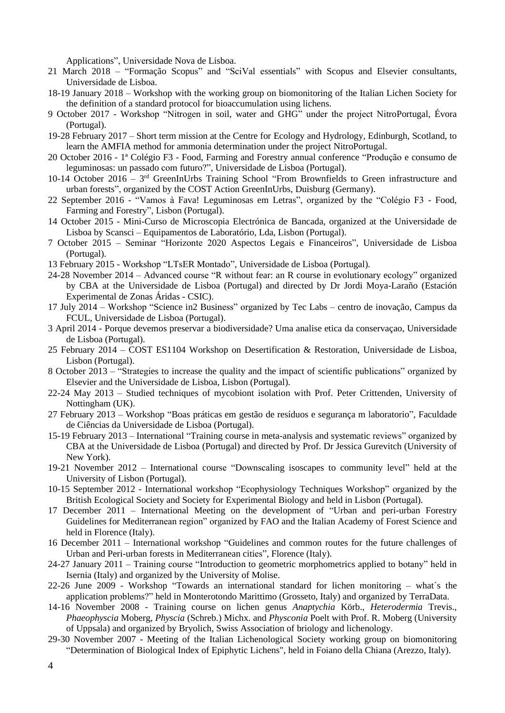Applications", Universidade Nova de Lisboa.

- 21 March 2018 "Formação Scopus" and "SciVal essentials" with Scopus and Elsevier consultants, Universidade de Lisboa.
- 18-19 January 2018 Workshop with the working group on biomonitoring of the Italian Lichen Society for the definition of a standard protocol for bioaccumulation using lichens.
- 9 October 2017 Workshop "Nitrogen in soil, water and GHG" under the project NitroPortugal, Évora (Portugal).
- 19-28 February 2017 Short term mission at the Centre for Ecology and Hydrology, Edinburgh, Scotland, to learn the AMFIA method for ammonia determination under the project NitroPortugal.
- 20 October 2016 1ª Colégio F3 Food, Farming and Forestry annual conference "Produção e consumo de leguminosas: un passado com futuro?", Universidade de Lisboa (Portugal).
- 10-14 October 2016 3<sup>rd</sup> GreenInUrbs Training School "From Brownfields to Green infrastructure and urban forests", organized by the COST Action GreenInUrbs, Duisburg (Germany).
- 22 September 2016 "Vamos à Fava! Leguminosas em Letras", organized by the "Colégio F3 Food, Farming and Forestry", Lisbon (Portugal).
- 14 October 2015 Mini-Curso de Microscopia Electrónica de Bancada, organized at the Universidade de Lisboa by Scansci – Equipamentos de Laboratório, Lda, Lisbon (Portugal).
- 7 October 2015 Seminar "Horizonte 2020 Aspectos Legais e Financeiros", Universidade de Lisboa (Portugal).
- 13 February 2015 Workshop "LTsER Montado", Universidade de Lisboa (Portugal).
- 24-28 November 2014 Advanced course "R without fear: an R course in evolutionary ecology" organized by CBA at the Universidade de Lisboa (Portugal) and directed by Dr Jordi Moya-Laraño (Estación Experimental de Zonas Áridas - CSIC).
- 17 July 2014 Workshop "Science in2 Business" organized by Tec Labs centro de inovação, Campus da FCUL, Universidade de Lisboa (Portugal).
- 3 April 2014 Porque devemos preservar a biodiversidade? Uma analise etica da conservaçao, Universidade de Lisboa (Portugal).
- 25 February 2014 COST ES1104 Workshop on Desertification & Restoration, Universidade de Lisboa, Lisbon (Portugal).
- 8 October 2013 "Strategies to increase the quality and the impact of scientific publications" organized by Elsevier and the Universidade de Lisboa, Lisbon (Portugal).
- 22-24 May 2013 Studied techniques of mycobiont isolation with Prof. Peter Crittenden, University of Nottingham (UK).
- 27 February 2013 Workshop "Boas práticas em gestão de resíduos e segurança m laboratorio", Faculdade de Ciências da Universidade de Lisboa (Portugal).
- 15-19 February 2013 International "Training course in meta-analysis and systematic reviews" organized by CBA at the Universidade de Lisboa (Portugal) and directed by Prof. Dr Jessica Gurevitch (University of New York).
- 19-21 November 2012 International course "Downscaling isoscapes to community level" held at the University of Lisbon (Portugal).
- 10-15 September 2012 International workshop "Ecophysiology Techniques Workshop" organized by the British Ecological Society and Society for Experimental Biology and held in Lisbon (Portugal).
- 17 December 2011 International Meeting on the development of "Urban and peri-urban Forestry Guidelines for Mediterranean region" organized by FAO and the Italian Academy of Forest Science and held in Florence (Italy).
- 16 December 2011 International workshop "Guidelines and common routes for the future challenges of Urban and Peri-urban forests in Mediterranean cities", Florence (Italy).
- 24-27 January 2011 Training course "Introduction to geometric morphometrics applied to botany" held in Isernia (Italy) and organized by the University of Molise.
- 22-26 June 2009 Workshop "Towards an international standard for lichen monitoring what´s the application problems?" held in Monterotondo Marittimo (Grosseto, Italy) and organized by TerraData.
- 14-16 November 2008 Training course on lichen genus *Anaptychia* Körb., *Heterodermia* Trevis., *Phaeophyscia* Moberg, *Physcia* (Schreb.) Michx. and *Physconia* Poelt with Prof. R. Moberg (University of Uppsala) and organized by Bryolich, Swiss Association of briology and lichenology.
- 29-30 November 2007 Meeting of the Italian Lichenological Society working group on biomonitoring "Determination of Biological Index of Epiphytic Lichens", held in Foiano della Chiana (Arezzo, Italy).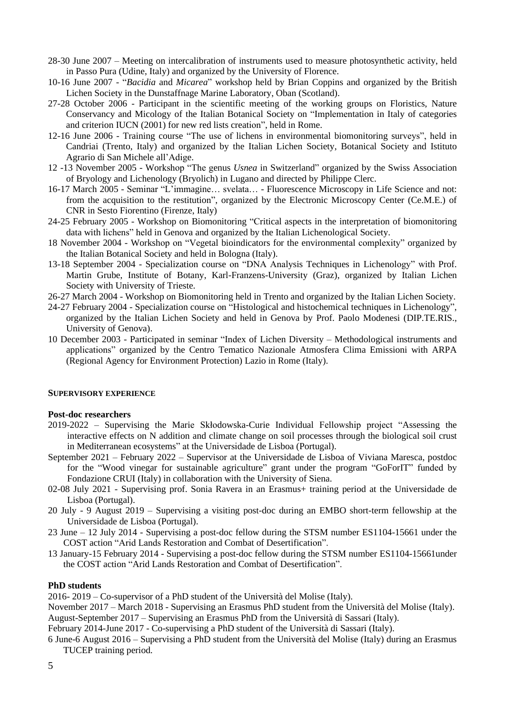- 28-30 June 2007 Meeting on intercalibration of instruments used to measure photosynthetic activity, held in Passo Pura (Udine, Italy) and organized by the University of Florence.
- 10-16 June 2007 "*Bacidia* and *Micarea*" workshop held by Brian Coppins and organized by the British Lichen Society in the Dunstaffnage Marine Laboratory, Oban (Scotland).
- 27-28 October 2006 Participant in the scientific meeting of the working groups on Floristics, Nature Conservancy and Micology of the Italian Botanical Society on "Implementation in Italy of categories and criterion IUCN (2001) for new red lists creation", held in Rome.
- 12-16 June 2006 Training course "The use of lichens in environmental biomonitoring surveys", held in Candriai (Trento, Italy) and organized by the Italian Lichen Society, Botanical Society and Istituto Agrario di San Michele all'Adige.
- 12 -13 November 2005 Workshop "The genus *Usnea* in Switzerland" organized by the Swiss Association of Bryology and Lichenology (Bryolich) in Lugano and directed by Philippe Clerc.
- 16-17 March 2005 Seminar "L'immagine… svelata… Fluorescence Microscopy in Life Science and not: from the acquisition to the restitution", organized by the Electronic Microscopy Center (Ce.M.E.) of CNR in Sesto Fiorentino (Firenze, Italy)
- 24-25 February 2005 Workshop on Biomonitoring "Critical aspects in the interpretation of biomonitoring data with lichens" held in Genova and organized by the Italian Lichenological Society.
- 18 November 2004 Workshop on "Vegetal bioindicators for the environmental complexity" organized by the Italian Botanical Society and held in Bologna (Italy).
- 13-18 September 2004 Specialization course on "DNA Analysis Techniques in Lichenology" with Prof. Martin Grube, Institute of Botany, Karl-Franzens-University (Graz), organized by Italian Lichen Society with University of Trieste.
- 26-27 March 2004 Workshop on Biomonitoring held in Trento and organized by the Italian Lichen Society.
- 24-27 February 2004 Specialization course on "Histological and histochemical techniques in Lichenology", organized by the Italian Lichen Society and held in Genova by Prof. Paolo Modenesi (DIP.TE.RIS., University of Genova).
- 10 December 2003 Participated in seminar "Index of Lichen Diversity Methodological instruments and applications" organized by the Centro Tematico Nazionale Atmosfera Clima Emissioni with ARPA (Regional Agency for Environment Protection) Lazio in Rome (Italy).

## **SUPERVISORY EXPERIENCE**

## **Post-doc researchers**

- 2019-2022 Supervising the Marie Skłodowska-Curie Individual Fellowship project "Assessing the interactive effects on N addition and climate change on soil processes through the biological soil crust in Mediterranean ecosystems" at the Universidade de Lisboa (Portugal).
- September 2021 February 2022 Supervisor at the Universidade de Lisboa of Viviana Maresca, postdoc for the "Wood vinegar for sustainable agriculture" grant under the program "GoForIT" funded by Fondazione CRUI (Italy) in collaboration with the University of Siena.
- 02-08 July 2021 Supervising prof. Sonia Ravera in an Erasmus+ training period at the Universidade de Lisboa (Portugal).
- 20 July 9 August 2019 Supervising a visiting post-doc during an EMBO short-term fellowship at the Universidade de Lisboa (Portugal).
- 23 June 12 July 2014 Supervising a post-doc fellow during the STSM number ES1104-15661 under the COST action "Arid Lands Restoration and Combat of Desertification".
- 13 January-15 February 2014 Supervising a post-doc fellow during the STSM number ES1104-15661under the COST action "Arid Lands Restoration and Combat of Desertification".

## **PhD students**

2016- 2019 – Co-supervisor of a PhD student of the Università del Molise (Italy).

November 2017 – March 2018 - Supervising an Erasmus PhD student from the Università del Molise (Italy).

August-September 2017 – Supervising an Erasmus PhD from the Università di Sassari (Italy).

February 2014-June 2017 - Co-supervising a PhD student of the Università di Sassari (Italy).

6 June-6 August 2016 – Supervising a PhD student from the Università del Molise (Italy) during an Erasmus TUCEP training period.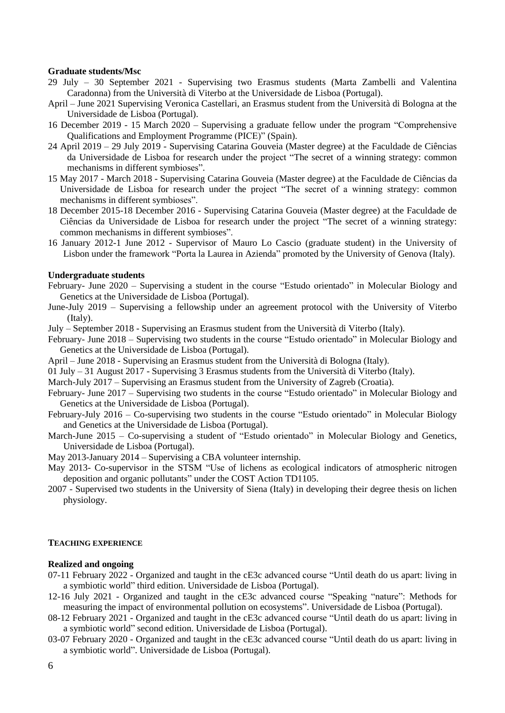#### **Graduate students/Msc**

- 29 July 30 September 2021 Supervising two Erasmus students (Marta Zambelli and Valentina Caradonna) from the Università di Viterbo at the Universidade de Lisboa (Portugal).
- April June 2021 Supervising Veronica Castellari, an Erasmus student from the Università di Bologna at the Universidade de Lisboa (Portugal).
- 16 December 2019 15 March 2020 Supervising a graduate fellow under the program "Comprehensive Qualifications and Employment Programme (PICE)" (Spain).
- 24 April 2019 29 July 2019 Supervising Catarina Gouveia (Master degree) at the Faculdade de Ciências da Universidade de Lisboa for research under the project "The secret of a winning strategy: common mechanisms in different symbioses".
- 15 May 2017 March 2018 Supervising Catarina Gouveia (Master degree) at the Faculdade de Ciências da Universidade de Lisboa for research under the project "The secret of a winning strategy: common mechanisms in different symbioses".
- 18 December 2015-18 December 2016 Supervising Catarina Gouveia (Master degree) at the Faculdade de Ciências da Universidade de Lisboa for research under the project "The secret of a winning strategy: common mechanisms in different symbioses".
- 16 January 2012-1 June 2012 Supervisor of Mauro Lo Cascio (graduate student) in the University of Lisbon under the framework "Porta la Laurea in Azienda" promoted by the University of Genova (Italy).

#### **Undergraduate students**

February- June 2020 – Supervising a student in the course "Estudo orientado" in Molecular Biology and Genetics at the Universidade de Lisboa (Portugal).

- June-July 2019 Supervising a fellowship under an agreement protocol with the University of Viterbo (Italy).
- July September 2018 Supervising an Erasmus student from the Università di Viterbo (Italy).
- February- June 2018 Supervising two students in the course "Estudo orientado" in Molecular Biology and Genetics at the Universidade de Lisboa (Portugal).
- April June 2018 Supervising an Erasmus student from the Università di Bologna (Italy).
- 01 July 31 August 2017 Supervising 3 Erasmus students from the Università di Viterbo (Italy).
- March-July 2017 Supervising an Erasmus student from the University of Zagreb (Croatia).
- February- June 2017 Supervising two students in the course "Estudo orientado" in Molecular Biology and Genetics at the Universidade de Lisboa (Portugal).
- February-July 2016 Co-supervising two students in the course "Estudo orientado" in Molecular Biology and Genetics at the Universidade de Lisboa (Portugal).
- March-June 2015 Co-supervising a student of "Estudo orientado" in Molecular Biology and Genetics, Universidade de Lisboa (Portugal).
- May 2013-January 2014 Supervising a CBA volunteer internship.
- May 2013- Co-supervisor in the STSM "Use of lichens as ecological indicators of atmospheric nitrogen deposition and organic pollutants" under the COST Action TD1105.
- 2007 Supervised two students in the University of Siena (Italy) in developing their degree thesis on lichen physiology.

#### **TEACHING EXPERIENCE**

#### **Realized and ongoing**

- 07-11 February 2022 Organized and taught in the cE3c advanced course "Until death do us apart: living in a symbiotic world" third edition. Universidade de Lisboa (Portugal).
- 12-16 July 2021 Organized and taught in the cE3c advanced course "Speaking "nature": Methods for measuring the impact of environmental pollution on ecosystems". Universidade de Lisboa (Portugal).
- 08-12 February 2021 Organized and taught in the cE3c advanced course "Until death do us apart: living in a symbiotic world" second edition. Universidade de Lisboa (Portugal).
- 03-07 February 2020 Organized and taught in the cE3c advanced course "Until death do us apart: living in a symbiotic world". Universidade de Lisboa (Portugal).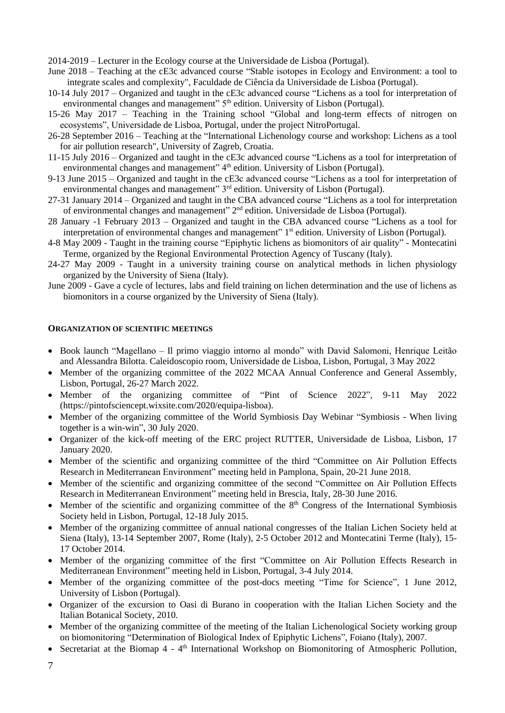2014-2019 – Lecturer in the Ecology course at the Universidade de Lisboa (Portugal).

- June 2018 Teaching at the cE3c advanced course "Stable isotopes in Ecology and Environment: a tool to integrate scales and complexity", Faculdade de Ciência da Universidade de Lisboa (Portugal).
- 10-14 July 2017 Organized and taught in the cE3c advanced course "Lichens as a tool for interpretation of environmental changes and management"  $5<sup>th</sup>$  edition. University of Lisbon (Portugal).
- 15-26 May 2017 Teaching in the Training school "Global and long-term effects of nitrogen on ecosystems", Universidade de Lisboa, Portugal, under the project NitroPortugal.
- 26-28 September 2016 Teaching at the "International Lichenology course and workshop: Lichens as a tool for air pollution research", University of Zagreb, Croatia.
- 11-15 July 2016 Organized and taught in the cE3c advanced course "Lichens as a tool for interpretation of environmental changes and management" 4<sup>th</sup> edition. University of Lisbon (Portugal).
- 9-13 June 2015 Organized and taught in the cE3c advanced course "Lichens as a tool for interpretation of environmental changes and management" 3<sup>rd</sup> edition. University of Lisbon (Portugal).
- 27-31 January 2014 Organized and taught in the CBA advanced course "Lichens as a tool for interpretation of environmental changes and management" 2<sup>nd</sup> edition. Universidade de Lisboa (Portugal).
- 28 January -1 February 2013 Organized and taught in the CBA advanced course "Lichens as a tool for interpretation of environmental changes and management" 1<sup>st</sup> edition. University of Lisbon (Portugal).
- 4-8 May 2009 Taught in the training course "Epiphytic lichens as biomonitors of air quality" Montecatini Terme, organized by the Regional Environmental Protection Agency of Tuscany (Italy).
- 24-27 May 2009 Taught in a university training course on analytical methods in lichen physiology organized by the University of Siena (Italy).
- June 2009 Gave a cycle of lectures, labs and field training on lichen determination and the use of lichens as biomonitors in a course organized by the University of Siena (Italy).

#### **ORGANIZATION OF SCIENTIFIC MEETINGS**

- Book launch "Magellano Il primo viaggio intorno al mondo" with David Salomoni, Henrique Leitão and Alessandra Bilotta. Caleidoscopio room, Universidade de Lisboa, Lisbon, Portugal, 3 May 2022
- Member of the organizing committee of the 2022 MCAA Annual Conference and General Assembly, Lisbon, Portugal, 26-27 March 2022.
- Member of the organizing committee of "Pint of Science 2022", 9-11 May 2022 (https://pintofsciencept.wixsite.com/2020/equipa-lisboa).
- Member of the organizing committee of the World Symbiosis Day Webinar "Symbiosis When living together is a win-win", 30 July 2020.
- Organizer of the kick-off meeting of the ERC project RUTTER, Universidade de Lisboa, Lisbon, 17 January 2020.
- Member of the scientific and organizing committee of the third "Committee on Air Pollution Effects" Research in Mediterranean Environment" meeting held in Pamplona, Spain, 20-21 June 2018.
- Member of the scientific and organizing committee of the second "Committee on Air Pollution Effects" Research in Mediterranean Environment" meeting held in Brescia, Italy, 28-30 June 2016.
- Member of the scientific and organizing committee of the  $8<sup>th</sup>$  Congress of the International Symbiosis Society held in Lisbon, Portugal, 12-18 July 2015.
- Member of the organizing committee of annual national congresses of the Italian Lichen Society held at Siena (Italy), 13-14 September 2007, Rome (Italy), 2-5 October 2012 and Montecatini Terme (Italy), 15- 17 October 2014.
- Member of the organizing committee of the first "Committee on Air Pollution Effects Research in Mediterranean Environment" meeting held in Lisbon, Portugal, 3-4 July 2014.
- Member of the organizing committee of the post-docs meeting "Time for Science", 1 June 2012, University of Lisbon (Portugal).
- Organizer of the excursion to Oasi di Burano in cooperation with the Italian Lichen Society and the Italian Botanical Society, 2010.
- Member of the organizing committee of the meeting of the Italian Lichenological Society working group on biomonitoring "Determination of Biological Index of Epiphytic Lichens", Foiano (Italy), 2007.
- Secretariat at the Biomap 4 4<sup>th</sup> International Workshop on Biomonitoring of Atmospheric Pollution,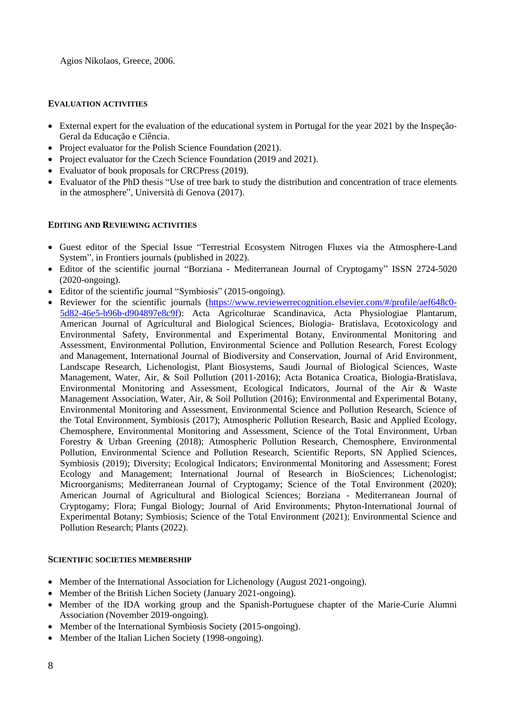Agios Nikolaos, Greece, 2006.

## **EVALUATION ACTIVITIES**

- External expert for the evaluation of the educational system in Portugal for the year 2021 by the Inspecão-Geral da Educação e Ciência.
- Project evaluator for the Polish Science Foundation (2021).
- Project evaluator for the Czech Science Foundation (2019 and 2021).
- Evaluator of book proposals for CRCPress (2019).
- Evaluator of the PhD thesis "Use of tree bark to study the distribution and concentration of trace elements in the atmosphere", Università di Genova (2017).

## **EDITING AND REVIEWING ACTIVITIES**

- Guest editor of the Special Issue "Terrestrial Ecosystem Nitrogen Fluxes via the Atmosphere-Land System", in Frontiers journals (published in 2022).
- Editor of the scientific journal "Borziana Mediterranean Journal of Cryptogamy" ISSN 2724-5020 (2020-ongoing).
- Editor of the scientific journal "Symbiosis" (2015-ongoing).
- Reviewer for the scientific journals [\(https://www.reviewerrecognition.elsevier.com/#/profile/aef648c0-](https://www.reviewerrecognition.elsevier.com/#/profile/aef648c0-5d82-46e5-b96b-d904897e8c9f) [5d82-46e5-b96b-d904897e8c9f\)](https://www.reviewerrecognition.elsevier.com/#/profile/aef648c0-5d82-46e5-b96b-d904897e8c9f): Acta Agricolturae Scandinavica, Acta Physiologiae Plantarum, American Journal of Agricultural and Biological Sciences, Biologia- Bratislava, Ecotoxicology and Environmental Safety, Environmental and Experimental Botany, Environmental Monitoring and Assessment, Environmental Pollution, Environmental Science and Pollution Research, Forest Ecology and Management, International Journal of Biodiversity and Conservation, Journal of Arid Environment, Landscape Research, Lichenologist, Plant Biosystems, Saudi Journal of Biological Sciences, Waste Management, Water, Air, & Soil Pollution (2011-2016); Acta Botanica Croatica, Biologia-Bratislava, Environmental Monitoring and Assessment, Ecological Indicators, Journal of the Air & Waste Management Association, Water, Air, & Soil Pollution (2016); Environmental and Experimental Botany, Environmental Monitoring and Assessment, Environmental Science and Pollution Research, Science of the Total Environment, Symbiosis (2017); Atmospheric Pollution Research, Basic and Applied Ecology, Chemosphere, Environmental Monitoring and Assessment, Science of the Total Environment, Urban Forestry & Urban Greening (2018); Atmospheric Pollution Research, Chemosphere, Environmental Pollution, Environmental Science and Pollution Research, Scientific Reports, SN Applied Sciences, Symbiosis (2019); Diversity; Ecological Indicators; Environmental Monitoring and Assessment; Forest Ecology and Management; International Journal of Research in BioSciences; Lichenologist; Microorganisms; Mediterranean Journal of Cryptogamy; Science of the Total Environment (2020); American Journal of Agricultural and Biological Sciences; Borziana - Mediterranean Journal of Cryptogamy; Flora; Fungal Biology; Journal of Arid Environments; Phyton-International Journal of Experimental Botany; Symbiosis; Science of the Total Environment (2021); Environmental Science and Pollution Research; Plants (2022).

## **SCIENTIFIC SOCIETIES MEMBERSHIP**

- Member of the International Association for Lichenology (August 2021-ongoing).
- Member of the British Lichen Society (January 2021-ongoing).
- Member of the IDA working group and the Spanish-Portuguese chapter of the Marie-Curie Alumni Association (November 2019-ongoing).
- Member of the International Symbiosis Society (2015-ongoing).
- Member of the Italian Lichen Society (1998-ongoing).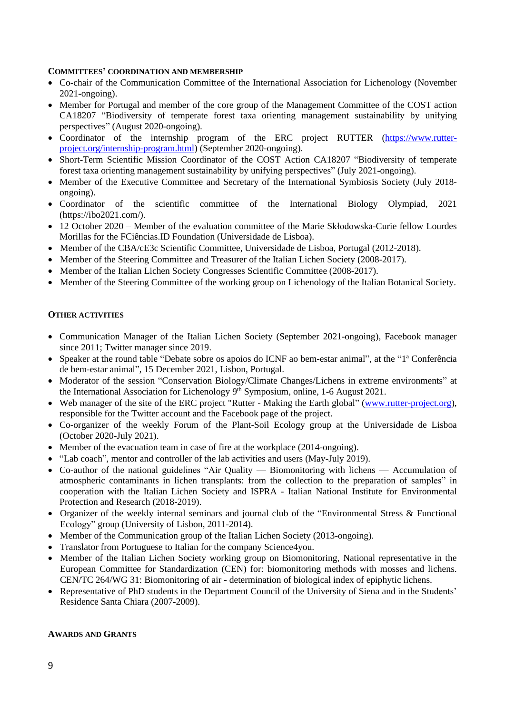## **COMMITTEES' COORDINATION AND MEMBERSHIP**

- Co-chair of the Communication Committee of the International Association for Lichenology (November 2021-ongoing).
- Member for Portugal and member of the core group of the Management Committee of the COST action CA18207 "Biodiversity of temperate forest taxa orienting management sustainability by unifying perspectives" (August 2020-ongoing).
- Coordinator of the internship program of the ERC project RUTTER [\(https://www.rutter](https://www.rutter-project.org/internship-program.html)[project.org/internship-program.html\)](https://www.rutter-project.org/internship-program.html) (September 2020-ongoing).
- Short-Term Scientific Mission Coordinator of the COST Action CA18207 "Biodiversity of temperate forest taxa orienting management sustainability by unifying perspectives" (July 2021-ongoing).
- Member of the Executive Committee and Secretary of the International Symbiosis Society (July 2018ongoing).
- Coordinator of the scientific committee of the International Biology Olympiad, 2021 (https://ibo2021.com/).
- 12 October 2020 Member of the evaluation committee of the Marie Skłodowska-Curie fellow Lourdes Morillas for the FCiências.ID Foundation (Universidade de Lisboa).
- Member of the CBA/cE3c Scientific Committee, Universidade de Lisboa, Portugal (2012-2018).
- Member of the Steering Committee and Treasurer of the Italian Lichen Society (2008-2017).
- Member of the Italian Lichen Society Congresses Scientific Committee (2008-2017).
- Member of the Steering Committee of the working group on Lichenology of the Italian Botanical Society.

# **OTHER ACTIVITIES**

- Communication Manager of the Italian Lichen Society (September 2021-ongoing), Facebook manager since 2011; Twitter manager since 2019.
- Speaker at the round table "Debate sobre os apoios do ICNF ao bem-estar animal", at the "1ª Conferência de bem-estar animal", 15 December 2021, Lisbon, Portugal.
- Moderator of the session "Conservation Biology/Climate Changes/Lichens in extreme environments" at the International Association for Lichenology 9<sup>th</sup> Symposium, online, 1-6 August 2021.
- Web manager of the site of the ERC project "Rutter Making the Earth global" [\(www.rutter-project.org\)](http://www.rutter-project.org/), responsible for the Twitter account and the Facebook page of the project.
- Co-organizer of the weekly Forum of the Plant-Soil Ecology group at the Universidade de Lisboa (October 2020-July 2021).
- Member of the evacuation team in case of fire at the workplace (2014-ongoing).
- "Lab coach", mentor and controller of the lab activities and users (May-July 2019).
- Co-author of the national guidelines "Air Quality Biomonitoring with lichens Accumulation of atmospheric contaminants in lichen transplants: from the collection to the preparation of samples" in cooperation with the Italian Lichen Society and ISPRA - Italian National Institute for Environmental Protection and Research (2018-2019).
- Organizer of the weekly internal seminars and journal club of the "Environmental Stress & Functional Ecology" group (University of Lisbon, 2011-2014).
- Member of the Communication group of the Italian Lichen Society (2013-ongoing).
- Translator from Portuguese to Italian for the company Science4you.
- Member of the Italian Lichen Society working group on Biomonitoring, National representative in the European Committee for Standardization (CEN) for: biomonitoring methods with mosses and lichens. CEN/TC 264/WG 31: Biomonitoring of air - determination of biological index of epiphytic lichens.
- Representative of PhD students in the Department Council of the University of Siena and in the Students' Residence Santa Chiara (2007-2009).

## **AWARDS AND GRANTS**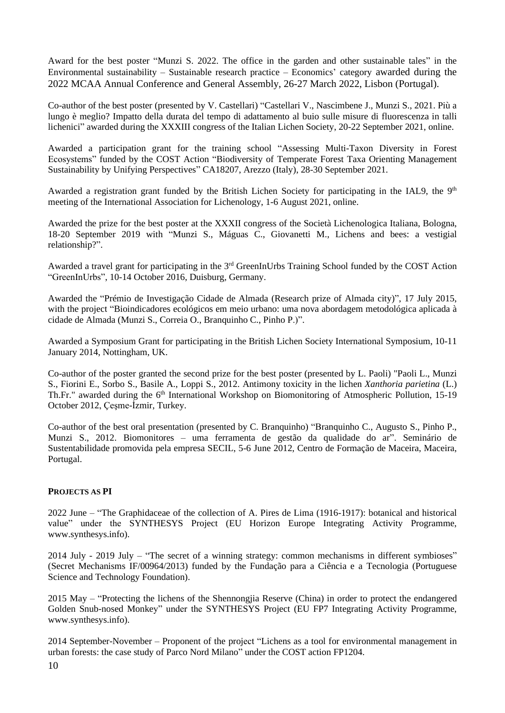Award for the best poster "Munzi S. 2022. The office in the garden and other sustainable tales" in the Environmental sustainability – Sustainable research practice – Economics' category awarded during the 2022 MCAA Annual Conference and General Assembly, 26-27 March 2022, Lisbon (Portugal).

Co-author of the best poster (presented by V. Castellari) "Castellari V., Nascimbene J., Munzi S., 2021. Più a lungo è meglio? Impatto della durata del tempo di adattamento al buio sulle misure di fluorescenza in talli lichenici" awarded during the XXXIII congress of the Italian Lichen Society, 20-22 September 2021, online.

Awarded a participation grant for the training school "Assessing Multi-Taxon Diversity in Forest Ecosystems" funded by the COST Action "Biodiversity of Temperate Forest Taxa Orienting Management Sustainability by Unifying Perspectives" CA18207, Arezzo (Italy), 28-30 September 2021.

Awarded a registration grant funded by the British Lichen Society for participating in the IAL9, the 9<sup>th</sup> meeting of the International Association for Lichenology, 1-6 August 2021, online.

Awarded the prize for the best poster at the XXXII congress of the Società Lichenologica Italiana, Bologna, 18-20 September 2019 with "Munzi S., Máguas C., Giovanetti M., Lichens and bees: a vestigial relationship?".

Awarded a travel grant for participating in the 3<sup>rd</sup> GreenInUrbs Training School funded by the COST Action "GreenInUrbs", 10-14 October 2016, Duisburg, Germany.

Awarded the "Prémio de Investigação Cidade de Almada (Research prize of Almada city)", 17 July 2015, with the project "Bioindicadores ecológicos em meio urbano: uma nova abordagem metodológica aplicada à cidade de Almada (Munzi S., Correia O., Branquinho C., Pinho P.)".

Awarded a Symposium Grant for participating in the British Lichen Society International Symposium, 10-11 January 2014, Nottingham, UK.

Co-author of the poster granted the second prize for the best poster (presented by L. Paoli) "Paoli L., Munzi S., Fiorini E., Sorbo S., Basile A., Loppi S., 2012. Antimony toxicity in the lichen *Xanthoria parietina* (L.) Th.Fr." awarded during the 6<sup>th</sup> International Workshop on Biomonitoring of Atmospheric Pollution, 15-19 October 2012, Çeşme-İzmir, Turkey.

Co-author of the best oral presentation (presented by C. Branquinho) "Branquinho C., Augusto S., Pinho P., Munzi S., 2012. Biomonitores – uma ferramenta de gestão da qualidade do ar". Seminário de Sustentabilidade promovida pela empresa SECIL, 5-6 June 2012, Centro de Formação de Maceira, Maceira, Portugal.

# **PROJECTS AS PI**

2022 June – "The Graphidaceae of the collection of A. Pires de Lima (1916-1917): botanical and historical value" under the SYNTHESYS Project (EU Horizon Europe Integrating Activity Programme, www.synthesys.info).

2014 July - 2019 July – "The secret of a winning strategy: common mechanisms in different symbioses" (Secret Mechanisms IF/00964/2013) funded by the [Fundação para a Ciência e a](http://www.fct.pt/) Tecnologia (Portuguese Science and Technology Foundation).

2015 May – "Protecting the lichens of the Shennongjia Reserve (China) in order to protect the endangered Golden Snub-nosed Monkey" under the SYNTHESYS Project (EU FP7 Integrating Activity Programme, www.synthesys.info).

2014 September-November – Proponent of the project "Lichens as a tool for environmental management in urban forests: the case study of Parco Nord Milano" under the COST action FP1204.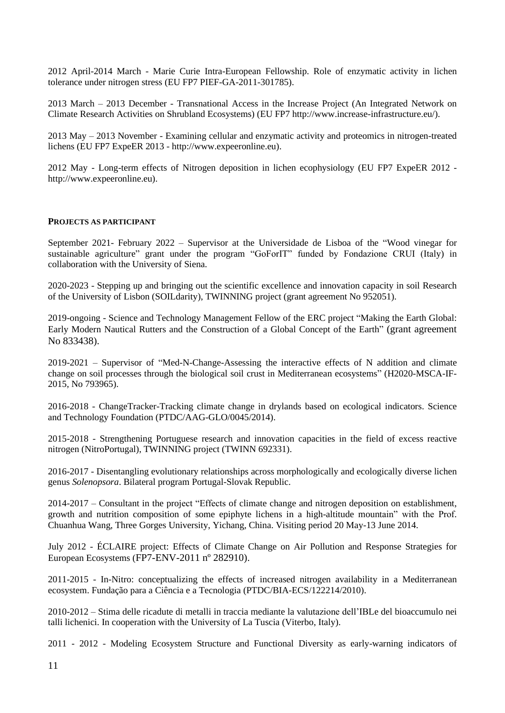2012 April-2014 March - Marie Curie Intra-European Fellowship. Role of enzymatic activity in lichen tolerance under nitrogen stress (EU FP7 PIEF-GA-2011-301785).

2013 March – 2013 December - Transnational Access in the Increase Project (An Integrated Network on Climate Research Activities on Shrubland Ecosystems) (EU FP7 http://www.increase-infrastructure.eu/).

2013 May – 2013 November - Examining cellular and enzymatic activity and proteomics in nitrogen-treated lichens (EU FP7 ExpeER 2013 - http://www.expeeronline.eu).

2012 May - Long-term effects of Nitrogen deposition in lichen ecophysiology (EU FP7 ExpeER 2012 http://www.expeeronline.eu).

## **PROJECTS AS PARTICIPANT**

September 2021- February 2022 – Supervisor at the Universidade de Lisboa of the "Wood vinegar for sustainable agriculture" grant under the program "GoForIT" funded by Fondazione CRUI (Italy) in collaboration with the University of Siena.

2020-2023 - Stepping up and bringing out the scientific excellence and innovation capacity in soil Research of the University of Lisbon (SOILdarity), TWINNING project (grant agreement No 952051).

2019-ongoing - Science and Technology Management Fellow of the ERC project "Making the Earth Global: Early Modern Nautical Rutters and the Construction of a Global Concept of the Earth" (grant agreement No 833438).

2019-2021 – Supervisor of "Med-N-Change-Assessing the interactive effects of N addition and climate change on soil processes through the biological soil crust in Mediterranean ecosystems" (H2020-MSCA-IF-2015, No 793965).

2016-2018 - ChangeTracker-Tracking climate change in drylands based on ecological indicators. Science and Technology Foundation (PTDC/AAG-GLO/0045/2014).

2015-2018 - Strengthening Portuguese research and innovation capacities in the field of excess reactive nitrogen (NitroPortugal), TWINNING project (TWINN 692331).

2016-2017 - Disentangling evolutionary relationships across morphologically and ecologically diverse lichen genus *Solenopsora*. Bilateral program Portugal-Slovak Republic.

2014-2017 – Consultant in the project "Effects of climate change and nitrogen deposition on establishment, growth and nutrition composition of some epiphyte lichens in a high-altitude mountain" with the Prof. Chuanhua Wang, Three Gorges University, Yichang, China. Visiting period 20 May-13 June 2014.

July 2012 - ÉCLAIRE project: Effects of Climate Change on Air Pollution and Response Strategies for European Ecosystems (FP7-ENV-2011 nº 282910).

2011-2015 - In-Nitro: conceptualizing the effects of increased nitrogen availability in a Mediterranean ecosystem. Fundação para a Ciência e a Tecnologia (PTDC/BIA-ECS/122214/2010).

2010-2012 – Stima delle ricadute di metalli in traccia mediante la valutazione dell'IBLe del bioaccumulo nei talli lichenici. In cooperation with the University of La Tuscia (Viterbo, Italy).

2011 - 2012 - Modeling Ecosystem Structure and Functional Diversity as early-warning indicators of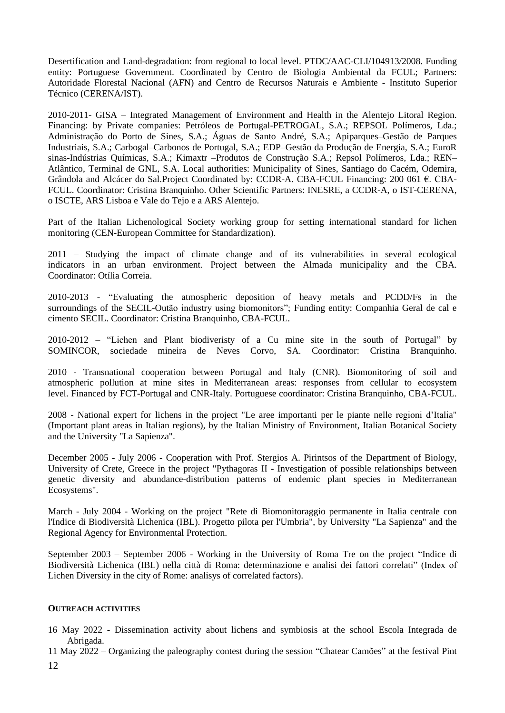Desertification and Land-degradation: from regional to local level. PTDC/AAC-CLI/104913/2008. Funding entity: Portuguese Government. Coordinated by Centro de Biologia Ambiental da FCUL; Partners: Autoridade Florestal Nacional (AFN) and Centro de Recursos Naturais e Ambiente - Instituto Superior Técnico (CERENA/IST).

2010-2011- GISA – Integrated Management of Environment and Health in the Alentejo Litoral Region. Financing: by Private companies: Petróleos de Portugal-PETROGAL, S.A.; REPSOL Polímeros, Lda.; Administração do Porto de Sines, S.A.; Águas de Santo André, S.A.; Apiparques–Gestão de Parques Industriais, S.A.; Carbogal–Carbonos de Portugal, S.A.; EDP–Gestão da Produção de Energia, S.A.; EuroR sinas-Indústrias Químicas, S.A.; Kimaxtr –Produtos de Construção S.A.; Repsol Polímeros, Lda.; REN– Atlântico, Terminal de GNL, S.A. Local authorities: Municipality of Sines, Santiago do Cacém, Odemira, Grândola and Alcácer do Sal.Project Coordinated by: CCDR-A. CBA-FCUL Financing: 200 061 €. CBA-FCUL. Coordinator: Cristina Branquinho. Other Scientific Partners: INESRE, a CCDR-A, o IST-CERENA, o ISCTE, ARS Lisboa e Vale do Tejo e a ARS Alentejo.

Part of the Italian Lichenological Society working group for setting international standard for lichen monitoring (CEN-European Committee for Standardization).

2011 – Studying the impact of climate change and of its vulnerabilities in several ecological indicators in an urban environment. Project between the Almada municipality and the CBA. Coordinator: Otília Correia.

2010-2013 - "Evaluating the atmospheric deposition of heavy metals and PCDD/Fs in the surroundings of the SECIL-Outão industry using biomonitors"; Funding entity: Companhia Geral de cal e cimento SECIL. Coordinator: Cristina Branquinho, CBA-FCUL.

2010-2012 – "Lichen and Plant biodiveristy of a Cu mine site in the south of Portugal" by SOMINCOR, sociedade mineira de Neves Corvo, SA. Coordinator: Cristina Branquinho.

2010 - Transnational cooperation between Portugal and Italy (CNR). Biomonitoring of soil and atmospheric pollution at mine sites in Mediterranean areas: responses from cellular to ecosystem level. Financed by FCT-Portugal and CNR-Italy. Portuguese coordinator: Cristina Branquinho, CBA-FCUL.

2008 - National expert for lichens in the project "Le aree importanti per le piante nelle regioni d'Italia" (Important plant areas in Italian regions), by the Italian Ministry of Environment, Italian Botanical Society and the University "La Sapienza".

December 2005 - July 2006 - Cooperation with Prof. Stergios A. Pirintsos of the Department of Biology, University of Crete, Greece in the project "Pythagoras II - Investigation of possible relationships between genetic diversity and abundance-distribution patterns of endemic plant species in Mediterranean Ecosystems".

March - July 2004 - Working on the project "Rete di Biomonitoraggio permanente in Italia centrale con l'Indice di Biodiversità Lichenica (IBL). Progetto pilota per l'Umbria", by University "La Sapienza" and the Regional Agency for Environmental Protection.

September 2003 – September 2006 - Working in the University of Roma Tre on the project "Indice di Biodiversità Lichenica (IBL) nella città di Roma: determinazione e analisi dei fattori correlati" (Index of Lichen Diversity in the city of Rome: analisys of correlated factors).

## **OUTREACH ACTIVITIES**

16 May 2022 - Dissemination activity about lichens and symbiosis at the school Escola Integrada de Abrigada.

11 May 2022 – Organizing the paleography contest during the session "Chatear Camões" at the festival Pint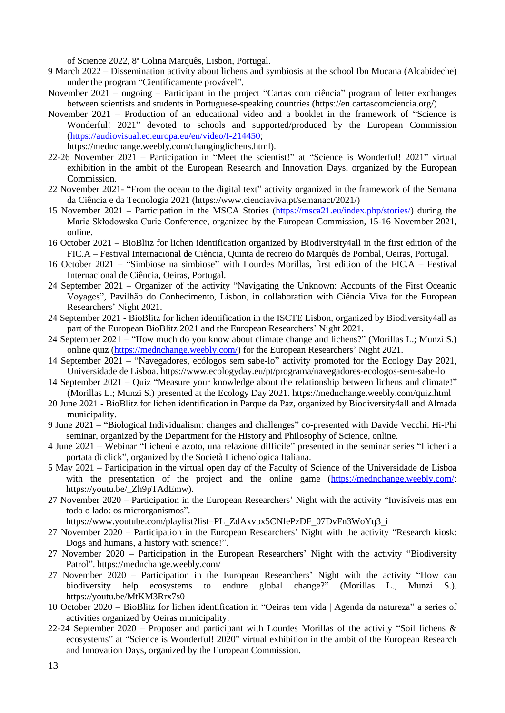of Science 2022, 8ª Colina Marquês, Lisbon, Portugal.

- 9 March 2022 Dissemination activity about lichens and symbiosis at the school Ibn Mucana (Alcabideche) under the program "Cientificamente provável".
- November 2021 ongoing Participant in the project "Cartas com ciência" program of letter exchanges between scientists and students in Portuguese-speaking countries (https://en.cartascomciencia.org/)
- November 2021 Production of an educational video and a booklet in the framework of "Science is Wonderful! 2021" devoted to schools and supported/produced by the European Commission [\(https://audiovisual.ec.europa.eu/en/video/I-214450;](https://audiovisual.ec.europa.eu/en/video/I-214450)

https://mednchange.weebly.com/changinglichens.html).

- 22-26 November 2021 Participation in "Meet the scientist!" at "Science is Wonderful! 2021" virtual exhibition in the ambit of the European Research and Innovation Days, organized by the European Commission.
- 22 November 2021- "From the ocean to the digital text" activity organized in the framework of the Semana da Ciência e da Tecnologia 2021 (https://www.cienciaviva.pt/semanact/2021/)
- 15 November 2021 Participation in the MSCA Stories [\(https://msca21.eu/index.php/stories/\)](https://msca21.eu/index.php/stories/) during the Marie Skłodowska Curie Conference, organized by the European Commission, 15-16 November 2021, online.
- 16 October 2021 BioBlitz for lichen identification organized by Biodiversity4all in the first edition of the FIC.A – Festival Internacional de Ciência, Quinta de recreio do Marquês de Pombal, Oeiras, Portugal.
- 16 October 2021 "Simbiose na simbiose" with Lourdes Morillas, first edition of the FIC.A Festival Internacional de Ciência, Oeiras, Portugal.
- 24 September 2021 Organizer of the activity "Navigating the Unknown: Accounts of the First Oceanic Voyages", Pavilhão do Conhecimento, Lisbon, in collaboration with Ciência Viva for the European Researchers' Night 2021.
- 24 September 2021 BioBlitz for lichen identification in the ISCTE Lisbon, organized by Biodiversity4all as part of the European BioBlitz 2021 and the European Researchers' Night 2021.
- 24 September 2021 "How much do you know about climate change and lichens?" (Morillas L.; Munzi S.) online quiz [\(https://mednchange.weebly.com/\)](https://mednchange.weebly.com/) for the European Researchers' Night 2021.
- 14 September 2021 "Navegadores, ecólogos sem sabe-lo" activity promoted for the Ecology Day 2021, Universidade de Lisboa. https://www.ecologyday.eu/pt/programa/navegadores-ecologos-sem-sabe-lo
- 14 September 2021 Quiz "Measure your knowledge about the relationship between lichens and climate!" (Morillas L.; Munzi S.) presented at the Ecology Day 2021. https://mednchange.weebly.com/quiz.html
- 20 June 2021 BioBlitz for lichen identification in Parque da Paz, organized by Biodiversity4all and Almada municipality.
- 9 June 2021 "Biological Individualism: changes and challenges" co-presented with Davide Vecchi. Hi-Phi seminar, organized by the Department for the History and Philosophy of Science, online.
- 4 June 2021 Webinar "Licheni e azoto, una relazione difficile" presented in the seminar series "Licheni a portata di click", organized by the Società Lichenologica Italiana.
- 5 May 2021 Participation in the virtual open day of the Faculty of Science of the Universidade de Lisboa with the presentation of the project and the online game [\(https://mednchange.weebly.com/;](https://mednchange.weebly.com/) [https://youtu.be/\\_Zh9pTAdEmw\)](https://youtu.be/_Zh9pTAdEmw).
- 27 November 2020 Participation in the European Researchers' Night with the activity "Invisíveis mas em todo o lado: os microrganismos".

https://www.youtube.com/playlist?list=PL\_ZdAxvbx5CNfePzDF\_07DvFn3WoYq3\_i

- 27 November 2020 Participation in the European Researchers' Night with the activity "Research kiosk: Dogs and humans, a history with science!".
- 27 November 2020 Participation in the European Researchers' Night with the activity "Biodiversity Patrol". https://mednchange.weebly.com/
- 27 November 2020 Participation in the European Researchers' Night with the activity "How can biodiversity help ecosystems to endure global change?" (Morillas L., Munzi S.). https://youtu.be/MtKM3Rrx7s0
- 10 October 2020 BioBlitz for lichen identification in "Oeiras tem vida | Agenda da natureza" a series of activities organized by Oeiras municipality.
- 22-24 September 2020 Proposer and participant with Lourdes Morillas of the activity "Soil lichens & ecosystems" at "Science is Wonderful! 2020" virtual exhibition in the ambit of the European Research and Innovation Days, organized by the European Commission.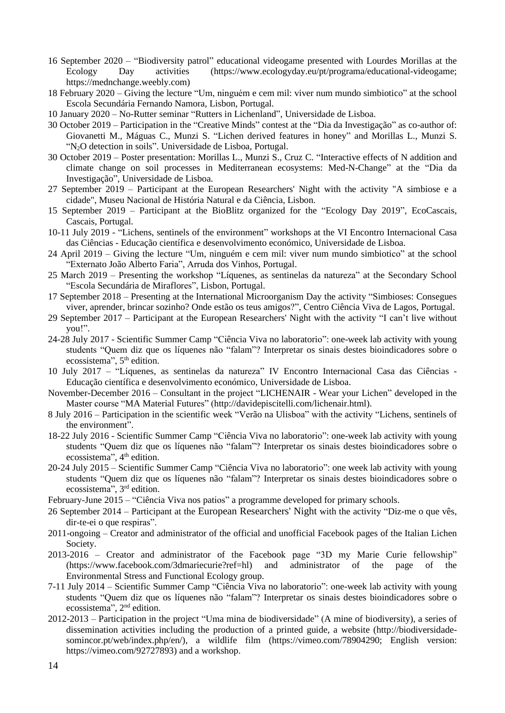- 16 September 2020 "Biodiversity patrol" educational videogame presented with Lourdes Morillas at the Ecology Day activities (https://www.ecologyday.eu/pt/programa/educational-videogame; https://mednchange.weebly.com)
- 18 February 2020 Giving the lecture "Um, ninguém e cem mil: viver num mundo simbiotico" at the school Escola Secundária Fernando Namora, Lisbon, Portugal.
- 10 January 2020 No-Rutter seminar "Rutters in Lichenland", Universidade de Lisboa.
- 30 October 2019 Participation in the "Creative Minds" contest at the "Dia da Investigação" as co-author of: Giovanetti M., Máguas C., Munzi S. "Lichen derived features in honey" and Morillas L., Munzi S. "N2O detection in soils". Universidade de Lisboa, Portugal.
- 30 October 2019 Poster presentation: Morillas L., Munzi S., Cruz C. "Interactive effects of N addition and climate change on soil processes in Mediterranean ecosystems: Med-N-Change" at the "Dia da Investigação", Universidade de Lisboa.
- 27 September 2019 Participant at the [European Researchers' Night](http://ec.europa.eu/research/researchersnight/index_en.htm) with the activity "A simbiose e a cidade", Museu Nacional de História Natural e da Ciência, Lisbon.
- 15 September 2019 Participant at the BioBlitz organized for the "Ecology Day 2019", EcoCascais, Cascais, Portugal.
- 10-11 July 2019 "Lichens, sentinels of the environment" workshops at the VI Encontro Internacional Casa das Ciências - Educação científica e desenvolvimento económico, Universidade de Lisboa.
- 24 April 2019 Giving the lecture "Um, ninguém e cem mil: viver num mundo simbiotico" at the school "Externato João Alberto Faria", Arruda dos Vinhos, Portugal.
- 25 March 2019 Presenting the workshop "Líquenes, as sentinelas da natureza" at the Secondary School "Escola Secundária de Miraflores", Lisbon, Portugal.
- 17 September 2018 Presenting at the International Microorganism Day the activity "Simbioses: Consegues viver, aprender, brincar sozinho? Onde estão os teus amigos?", Centro Ciência Viva de Lagos, Portugal.
- 29 September 2017 Participant at the [European Researchers' Night](http://ec.europa.eu/research/researchersnight/index_en.htm) with the activity "I can't live without you!".
- 24-28 July 2017 Scientific Summer Camp "Ciência Viva no laboratorio": one-week lab activity with young students "Quem diz que os líquenes não "falam"? Interpretar os sinais destes bioindicadores sobre o ecossistema", 5<sup>th</sup> edition.
- 10 July 2017 "Líquenes, as sentinelas da natureza" IV Encontro Internacional Casa das Ciências Educação científica e desenvolvimento económico, Universidade de Lisboa.
- November-December 2016 Consultant in the project "LICHENAIR Wear your Lichen" developed in the Master course "MA Material Futures" (http://davidepiscitelli.com/lichenair.html).
- 8 July 2016 Participation in the scientific week "Verão na Ulisboa" with the activity "Lichens, sentinels of the environment".
- 18-22 July 2016 Scientific Summer Camp "Ciência Viva no laboratorio": one-week lab activity with young students "Quem diz que os líquenes não "falam"? Interpretar os sinais destes bioindicadores sobre o ecossistema", 4<sup>th</sup> edition.
- 20-24 July 2015 Scientific Summer Camp "Ciência Viva no laboratorio": one week lab activity with young students "Quem diz que os líquenes não "falam"? Interpretar os sinais destes bioindicadores sobre o ecossistema", 3<sup>rd</sup> edition.
- February-June 2015 "Ciência Viva nos patios" a programme developed for primary schools.
- 26 September 2014 Participant at the [European Researchers' Night](http://ec.europa.eu/research/researchersnight/index_en.htm) with the activity "Diz-me o que vês, dir-te-ei o que respiras".
- 2011-ongoing Creator and administrator of the official and unofficial Facebook pages of the Italian Lichen Society.
- 2013-2016 Creator and administrator of the Facebook page "3D my Marie Curie fellowship" (https://www.facebook.com/3dmariecurie?ref=hl) and administrator of the page of the Environmental Stress and Functional Ecology group.
- 7-11 July 2014 Scientific Summer Camp "Ciência Viva no laboratorio": one-week lab activity with young students "Quem diz que os líquenes não "falam"? Interpretar os sinais destes bioindicadores sobre o ecossistema", 2<sup>nd</sup> edition.
- 2012-2013 Participation in the project "Uma mina de biodiversidade" (A mine of biodiversity), a series of dissemination activities including the production of a printed guide, a website (http://biodiversidadesomincor.pt/web/index.php/en/), a wildlife film (https://vimeo.com/78904290; English version: [https://vimeo.com/92727893\)](https://webmail.fc.ul.pt/owa/redir.aspx?C=1bulxI8gmkqU6TpQuegx34eaboMSSdFIERsRG7o3kb7EFUr6mgrDa74___-z9ZXlaCa_n2aJ_F4.&URL=https%3a%2f%2fvimeo.com%2f92727893) and a workshop.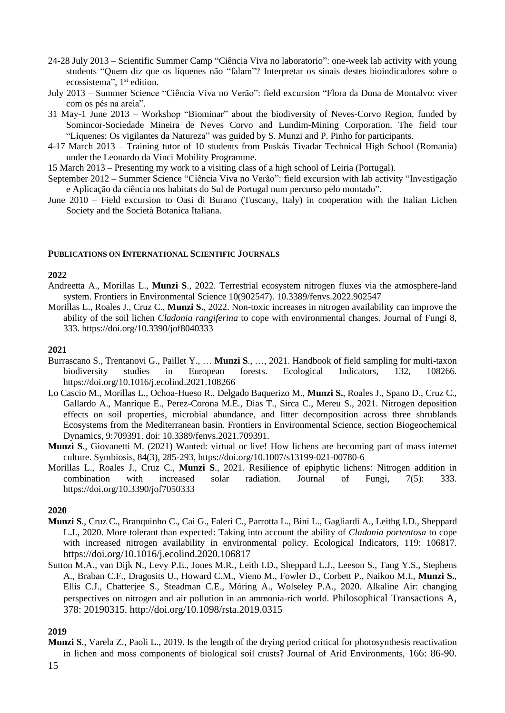- 24-28 July 2013 Scientific Summer Camp "Ciência Viva no laboratorio": one-week lab activity with young students "Quem diz que os líquenes não "falam"? Interpretar os sinais destes bioindicadores sobre o ecossistema", 1<sup>st</sup> edition.
- July 2013 Summer Science "Ciência Viva no Verão": field excursion "Flora da Duna de Montalvo: viver com os pés na areia".
- 31 May-1 June 2013 Workshop "Biominar" about the biodiversity of Neves-Corvo Region, funded by Somincor-Sociedade Mineira de Neves Corvo and Lundim-Mining Corporation. The field tour "Líquenes: Os vigilantes da Natureza" was guided by S. Munzi and P. Pinho for participants.
- 4-17 March 2013 Training tutor of 10 students from Puskás Tivadar Technical High School (Romania) under the Leonardo da Vinci Mobility Programme.

15 March 2013 – Presenting my work to a visiting class of a high school of Leiria (Portugal).

- September 2012 Summer Science "Ciência Viva no Verão": field excursion with lab activity "Investigação e Aplicação da ciência nos habitats do Sul de Portugal num percurso pelo montado".
- June 2010 Field excursion to Oasi di Burano (Tuscany, Italy) in cooperation with the Italian Lichen Society and the Società Botanica Italiana.

## **PUBLICATIONS ON INTERNATIONAL SCIENTIFIC JOURNALS**

#### **2022**

- Andreetta A., Morillas L., **Munzi S**., 2022. Terrestrial ecosystem nitrogen fluxes via the atmosphere-land system. Frontiers in Environmental Science 10(902547). 10.3389/fenvs.2022.902547
- Morillas L., Roales J., Cruz C., **Munzi S.**, 2022. Non-toxic increases in nitrogen availability can improve the ability of the soil lichen *Cladonia rangiferina* to cope with environmental changes. Journal of Fungi 8, 333. https://doi.org/10.3390/jof8040333

#### **2021**

- Burrascano S., Trentanovi G., Paillet Y., … **Munzi S**., …, 2021. Handbook of field sampling for multi-taxon biodiversity studies in European forests. Ecological Indicators, 132, 108266. https://doi.org/10.1016/j.ecolind.2021.108266
- Lo Cascio M., Morillas L., Ochoa-Hueso R., Delgado Baquerizo M., **Munzi S.**, Roales J., Spano D., Cruz C., Gallardo A., Manrique E., Perez-Corona M.E., Dias T., Sirca C., Mereu S., 2021. Nitrogen deposition effects on soil properties, microbial abundance, and litter decomposition across three shrublands Ecosystems from the Mediterranean basin. Frontiers in Environmental Science, section Biogeochemical Dynamics, 9:709391. doi: 10.3389/fenvs.2021.709391.
- **Munzi S**., Giovanetti M. (2021) Wanted: virtual or live! How lichens are becoming part of mass internet culture. Symbiosis, 84(3), 285-293, https://doi.org/10.1007/s13199-021-00780-6
- Morillas L., Roales J., Cruz C., **Munzi S**., 2021. Resilience of epiphytic lichens: Nitrogen addition in combination with increased solar radiation. Journal of Fungi, 7(5): 333. https://doi.org/10.3390/jof7050333

## **2020**

- **Munzi S**., Cruz C., Branquinho C., Cai G., Faleri C., Parrotta L., Bini L., Gagliardi A., Leithg I.D., Sheppard L.J., 2020. More tolerant than expected: Taking into account the ability of *Cladonia portentosa* to cope with increased nitrogen availability in environmental policy. Ecological Indicators, 119: 106817. <https://doi.org/10.1016/j.ecolind.2020.106817>
- Sutton M.A., van Dijk N., Levy P.E., Jones M.R., Leith I.D., Sheppard L.J., Leeson S., Tang Y.S., Stephens A., Braban C.F., Dragosits U., Howard C.M., Vieno M., Fowler D., Corbett P., Naikoo M.I., **Munzi S.**, Ellis C.J., Chatterjee S., Steadman C.E., Móring A., Wolseley P.A., 2020. Alkaline Air: changing perspectives on nitrogen and air pollution in an ammonia-rich world. Philosophical Transactions A, 378: 20190315. http://doi.org/10.1098/rsta.2019.0315

## **2019**

**Munzi S**., Varela Z., Paoli L., 2019. Is the length of the drying period critical for photosynthesis reactivation in lichen and moss components of biological soil crusts? Journal of Arid Environments, 166: 86-90.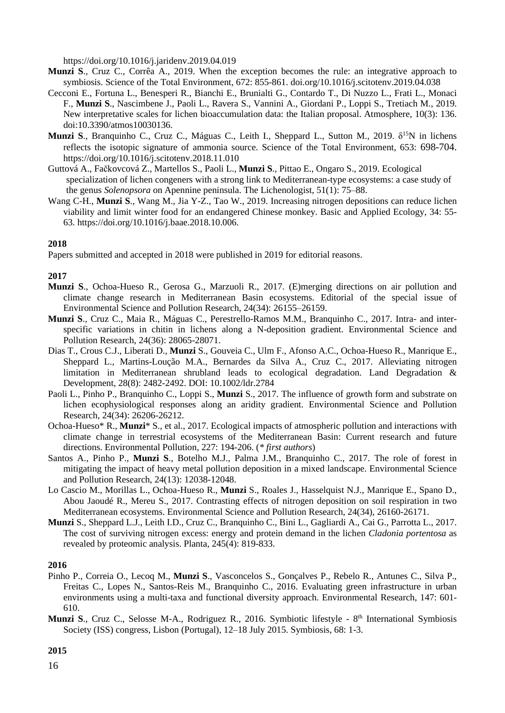https://doi.org/10.1016/j.jaridenv.2019.04.019

- **Munzi S**., Cruz C., Corrêa A., 2019. When the exception becomes the rule: an integrative approach to symbiosis. Science of the Total Environment, 672: 855-861. doi.org/10.1016/j.scitotenv.2019.04.038
- Cecconi E., Fortuna L., Benesperi R., Bianchi E., Brunialti G., Contardo T., Di Nuzzo L., Frati L., Monaci F., **Munzi S**., Nascimbene J., Paoli L., Ravera S., Vannini A., Giordani P., Loppi S., Tretiach M., 2019. New interpretative scales for lichen bioaccumulation data: the Italian proposal. Atmosphere, 10(3): 136. doi:10.3390/atmos10030136.
- **Munzi S.**, Branquinho C., Cruz C., Máguas C., Leith I., Sheppard L., Sutton M., 2019. δ<sup>15</sup>N in lichens reflects the isotopic signature of ammonia source. Science of the Total Environment, 653: 698-704. https://doi.org/10.1016/j.scitotenv.2018.11.010
- Guttová A., Fačkovcová Z., Martellos S., Paoli L., **Munzi S**., Pittao E., Ongaro S., 2019. Ecological specialization of lichen congeners with a strong link to Mediterranean-type ecosystems: a case study of the genus *Solenopsora* on Apennine peninsula. The Lichenologist, 51(1): 75–88.
- Wang C-H., **Munzi S**., Wang M., Jia Y-Z., Tao W., 2019. Increasing nitrogen depositions can reduce lichen viability and limit winter food for an endangered Chinese monkey. Basic and Applied Ecology, 34: 55- 63. https://doi.org/10.1016/j.baae.2018.10.006.

## **2018**

Papers submitted and accepted in 2018 were published in 2019 for editorial reasons.

## **2017**

- **Munzi S**., Ochoa-Hueso R., Gerosa G., Marzuoli R., 2017. (E)merging directions on air pollution and climate change research in Mediterranean Basin ecosystems. Editorial of the special issue of Environmental Science and Pollution Research, 24(34): 26155–26159.
- **Munzi S**., Cruz C., Maia R., Máguas C., Perestrello-Ramos M.M., Branquinho C., 2017. Intra- and interspecific variations in chitin in lichens along a N-deposition gradient. Environmental Science and Pollution Research, 24(36): 28065-28071.
- Dias T., Crous C.J., Liberati D., **Munzi** S., Gouveia C., Ulm F., Afonso A.C., Ochoa-Hueso R., Manrique E., Sheppard L., Martins-Loução M.A., Bernardes da Silva A., Cruz C., 2017. Alleviating nitrogen limitation in Mediterranean shrubland leads to ecological degradation. Land Degradation & Development, 28(8): 2482-2492. DOI: 10.1002/ldr.2784
- Paoli L., Pinho P., Branquinho C., Loppi S., **Munzi** S., 2017. The influence of growth form and substrate on lichen ecophysiological responses along an aridity gradient. Environmental Science and Pollution Research, 24(34): 26206-26212.
- Ochoa-Hueso\* R., **Munzi**\* S., et al., 2017. Ecological impacts of atmospheric pollution and interactions with climate change in terrestrial ecosystems of the Mediterranean Basin: Current research and future directions. Environmental Pollution, 227: 194-206. (*\* first authors*)
- Santos A., Pinho P., **Munzi S**., Botelho M.J., Palma J.M., Branquinho C., 2017. The role of forest in mitigating the impact of heavy metal pollution deposition in a mixed landscape. Environmental Science and Pollution Research, 24(13): 12038-12048.
- Lo Cascio M., Morillas L., Ochoa-Hueso R., **Munzi** S., Roales J., Hasselquist N.J., Manrique E., Spano D., Abou Jaoudé R., Mereu S., 2017. Contrasting effects of nitrogen deposition on soil respiration in two Mediterranean ecosystems. Environmental Science and Pollution Research, 24(34), 26160-26171.
- **Munzi** S., Sheppard L.J., Leith I.D., Cruz C., Branquinho C., Bini L., Gagliardi A., Cai G., Parrotta L., 2017. The cost of surviving nitrogen excess: energy and protein demand in the lichen *Cladonia portentosa* as revealed by proteomic analysis. Planta, 245(4): 819-833.

## **2016**

- Pinho P., Correia O., Lecoq M., **Munzi S**., Vasconcelos S., Gonçalves P., Rebelo R., Antunes C., Silva P., Freitas C., Lopes N., Santos-Reis M., Branquinho C., 2016. Evaluating green infrastructure in urban environments using a multi-taxa and functional diversity approach. Environmental Research, 147: 601- 610.
- Munzi S., Cruz C., Selosse M-A., Rodriguez R., 2016. Symbiotic lifestyle 8<sup>th</sup> International Symbiosis Society (ISS) congress, Lisbon (Portugal), 12–18 July 2015. Symbiosis, 68: 1-3.

# **2015**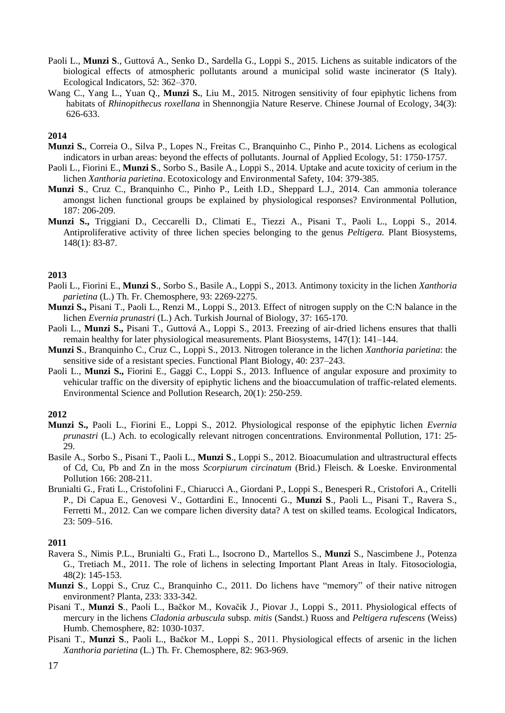- Paoli L., **Munzi S**., Guttová A., Senko D., Sardella G., Loppi S., 2015. Lichens as suitable indicators of the biological effects of atmospheric pollutants around a municipal solid waste incinerator (S Italy). Ecological Indicators, 52: 362–370.
- Wang C., Yang L., Yuan Q., **Munzi S.**, Liu M., 2015. Nitrogen sensitivity of four epiphytic lichens from habitats of *Rhinopithecus roxellana* in Shennongjia Nature Reserve. Chinese Journal of Ecology, 34(3): 626-633.

## **2014**

- **Munzi S.**, Correia O., Silva P., Lopes N., Freitas C., Branquinho C., Pinho P., 2014. Lichens as ecological indicators in urban areas: beyond the effects of pollutants. Journal of Applied Ecology, 51: 1750-1757.
- Paoli L., Fiorini E., **Munzi S**., Sorbo S., Basile A., Loppi S., 2014. Uptake and acute toxicity of cerium in the lichen *Xanthoria parietina*. Ecotoxicology and Environmental Safety, 104: 379-385.
- **Munzi S**., Cruz C., Branquinho C., Pinho P., Leith I.D., Sheppard L.J., 2014. Can ammonia tolerance amongst lichen functional groups be explained by physiological responses? Environmental Pollution, 187: 206-209.
- **Munzi S.,** Triggiani D., Ceccarelli D., Climati E., Tiezzi A., Pisani T., Paoli L., Loppi S., 2014. Antiproliferative activity of three lichen species belonging to the genus *Peltigera.* Plant Biosystems, 148(1): 83-87.

## **2013**

- Paoli L., Fiorini E., **Munzi S**., Sorbo S., Basile A., Loppi S., 2013. Antimony toxicity in the lichen *Xanthoria parietina* (L.) Th. Fr. Chemosphere, 93: 2269-2275.
- **Munzi S.,** Pisani T., Paoli L., Renzi M., Loppi S., 2013. Effect of nitrogen supply on the C:N balance in the lichen *Evernia prunastri* (L.) Ach. Turkish Journal of Biology, 37: 165-170.
- Paoli L., **Munzi S.,** Pisani T., Guttová A., Loppi S., 2013. Freezing of air-dried lichens ensures that thalli remain healthy for later physiological measurements. Plant Biosystems, 147(1): 141–144.
- **Munzi S**., Branquinho C., Cruz C., Loppi S., 2013. Nitrogen tolerance in the lichen *Xanthoria parietina*: the sensitive side of a resistant species. Functional Plant Biology, 40: 237–243.
- Paoli L., **Munzi S.,** Fiorini E., Gaggi C., Loppi S., 2013. Influence of angular exposure and proximity to vehicular traffic on the diversity of epiphytic lichens and the bioaccumulation of traffic-related elements. Environmental Science and Pollution Research, 20(1): 250-259.

## **2012**

- **Munzi S.,** Paoli L., Fiorini E., Loppi S., 2012. Physiological response of the epiphytic lichen *Evernia prunastri* (L.) Ach. to ecologically relevant nitrogen concentrations. Environmental Pollution, 171: 25- 29.
- Basile A., Sorbo S., Pisani T., Paoli L., **Munzi S**., Loppi S., 2012. Bioacumulation and ultrastructural effects of Cd, Cu, Pb and Zn in the moss *Scorpiurum circinatum* (Brid.) Fleisch. & Loeske. Environmental Pollution 166: 208-211.
- Brunialti G., Frati L., Cristofolini F., Chiarucci A., Giordani P., Loppi S., Benesperi R., Cristofori A., Critelli P., Di Capua E., Genovesi V., Gottardini E., Innocenti G., **Munzi S**., Paoli L., Pisani T., Ravera S., Ferretti M., 2012. Can we compare lichen diversity data? A test on skilled teams. Ecological Indicators, 23: 509–516.

## **2011**

- Ravera S., Nimis P.L., Brunialti G., Frati L., Isocrono D., Martellos S., **Munzi** S., Nascimbene J., Potenza G., Tretiach M., 2011. The role of lichens in selecting Important Plant Areas in Italy. Fitosociologia, 48(2): 145-153.
- **Munzi S**., Loppi S., Cruz C., Branquinho C., 2011. Do lichens have "memory" of their native nitrogen environment? Planta, 233: 333-342.
- Pisani T., **Munzi S**., Paoli L., Bačkor M., Kovačik J., Piovar J., Loppi S., 2011. Physiological effects of mercury in the lichens *Cladonia arbuscula* subsp. *mitis* (Sandst.) Ruoss and *Peltigera rufescens* (Weiss) Humb. Chemosphere, 82: 1030-1037.
- Pisani T., **Munzi S**., Paoli L., Bačkor M., Loppi S., 2011. Physiological effects of arsenic in the lichen *Xanthoria parietina* (L.) Th. Fr. Chemosphere, 82: 963-969.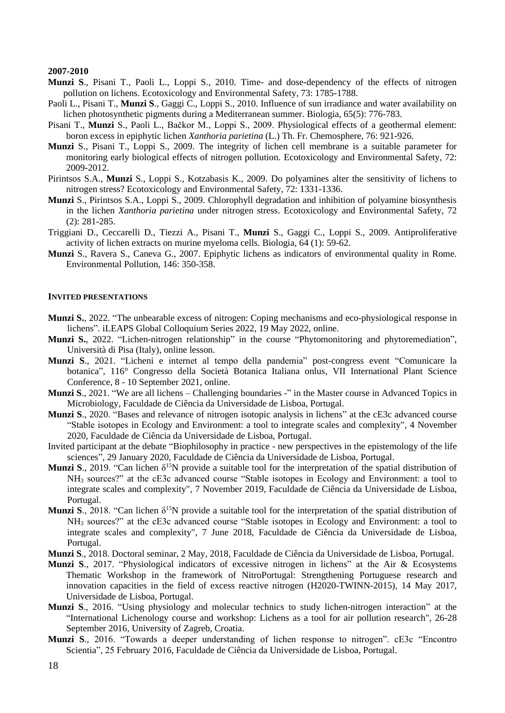#### **2007-2010**

- **Munzi S**., Pisani T., Paoli L., Loppi S., 2010. Time- and dose-dependency of the effects of nitrogen pollution on lichens. Ecotoxicology and Environmental Safety, 73: 1785-1788.
- Paoli L., Pisani T., **Munzi S**., Gaggi C., Loppi S., 2010. Influence of sun irradiance and water availability on lichen photosynthetic pigments during a Mediterranean summer. Biologia, 65(5): 776-783.
- Pisani T., **Munzi** S., Paoli L., Bačkor M., Loppi S., 2009. Physiological effects of a geothermal element: boron excess in epiphytic lichen *Xanthoria parietina* (L.) Th. Fr. Chemosphere, 76: 921-926.
- **Munzi** S., Pisani T., Loppi S., 2009. The integrity of lichen cell membrane is a suitable parameter for monitoring early biological effects of nitrogen pollution. Ecotoxicology and Environmental Safety, 72: 2009-2012.
- Pirintsos S.A., **Munzi** S., Loppi S., Kotzabasis K., 2009. Do polyamines alter the sensitivity of lichens to nitrogen stress? Ecotoxicology and Environmental Safety, 72: 1331-1336.
- **Munzi** S., Pirintsos S.A., Loppi S., 2009. [Chlorophyll degradation and inhibition of polyamine biosynthesis](http://www.sciencedirect.com/science?_ob=ArticleURL&_udi=B6WDM-4ST4CDD-1&_user=7597297&_coverDate=02%2F28%2F2009&_alid=839685477&_rdoc=1&_fmt=high&_orig=search&_cdi=6770&_sort=d&_docanchor=&view=c&_ct=2&_acct=C000036918&_version=1&_urlVersion=0&_userid=7597297&md5=d5711db8d80ca7d2ac2fc8d4ea6373be)  in the lichen *Xanthoria parietina* [under nitrogen stress.](http://www.sciencedirect.com/science?_ob=ArticleURL&_udi=B6WDM-4ST4CDD-1&_user=7597297&_coverDate=02%2F28%2F2009&_alid=839685477&_rdoc=1&_fmt=high&_orig=search&_cdi=6770&_sort=d&_docanchor=&view=c&_ct=2&_acct=C000036918&_version=1&_urlVersion=0&_userid=7597297&md5=d5711db8d80ca7d2ac2fc8d4ea6373be) Ecotoxicology and Environmental Safety, 72 (2): 281-285.
- Triggiani D., Ceccarelli D., Tiezzi A., Pisani T., **Munzi** S., Gaggi C., Loppi S., 2009. Antiproliferative activity of lichen extracts on murine myeloma cells. Biologia, 64 (1): 59-62.
- **Munzi** S., Ravera S., Caneva G., 2007. Epiphytic lichens as indicators of environmental quality in Rome. Environmental Pollution, 146: 350-358.

#### **INVITED PRESENTATIONS**

- **Munzi S.**, 2022. "The unbearable excess of nitrogen: Coping mechanisms and eco-physiological response in lichens". iLEAPS Global Colloquium Series 2022, 19 May 2022, online.
- **Munzi S.**, 2022. "Lichen-nitrogen relationship" in the course "Phytomonitoring and phytoremediation", Università di Pisa (Italy), online lesson.
- **Munzi S**., 2021. "Licheni e internet al tempo della pandemia" post-congress event "Comunicare la botanica", 116° Congresso della Società Botanica Italiana onlus, VII International Plant Science Conference, 8 - 10 September 2021, online.
- **Munzi S**., 2021. "We are all lichens Challenging boundaries -" in the Master course in Advanced Topics in Microbiology, Faculdade de Ciência da Universidade de Lisboa, Portugal.
- **Munzi S**., 2020. "Bases and relevance of nitrogen isotopic analysis in lichens" at the cE3c advanced course "Stable isotopes in Ecology and Environment: a tool to integrate scales and complexity", 4 November 2020, Faculdade de Ciência da Universidade de Lisboa, Portugal.
- Invited participant at the debate "Biophilosophy in practice new perspectives in the epistemology of the life sciences", 29 January 2020, Faculdade de Ciência da Universidade de Lisboa, Portugal.
- **Munzi S.,** 2019. "Can lichen  $\delta^{15}N$  provide a suitable tool for the interpretation of the spatial distribution of NH<sup>3</sup> sources?" at the cE3c advanced course "Stable isotopes in Ecology and Environment: a tool to integrate scales and complexity", 7 November 2019, Faculdade de Ciência da Universidade de Lisboa, Portugal.
- **Munzi S**., 2018. "Can lichen δ<sup>15</sup>N provide a suitable tool for the interpretation of the spatial distribution of NH<sup>3</sup> sources?" at the cE3c advanced course "Stable isotopes in Ecology and Environment: a tool to integrate scales and complexity", 7 June 2018, Faculdade de Ciência da Universidade de Lisboa, Portugal.
- **Munzi S**., 2018. Doctoral seminar, 2 May, 2018, Faculdade de Ciência da Universidade de Lisboa, Portugal.
- **Munzi S**., 2017. "Physiological indicators of excessive nitrogen in lichens" at the Air & Ecosystems Thematic Workshop in the framework of NitroPortugal: Strengthening Portuguese research and innovation capacities in the field of excess reactive nitrogen (H2020-TWINN-2015), 14 May 2017, Universidade de Lisboa, Portugal.
- **Munzi S**., 2016. "Using physiology and molecular technics to study lichen-nitrogen interaction" at the "International Lichenology course and workshop: Lichens as a tool for air pollution research", 26-28 September 2016, University of Zagreb, Croatia.
- **Munzi S**., 2016. "Towards a deeper understanding of lichen response to nitrogen". cE3c "Encontro Scientia", 25 February 2016, Faculdade de Ciência da Universidade de Lisboa, Portugal.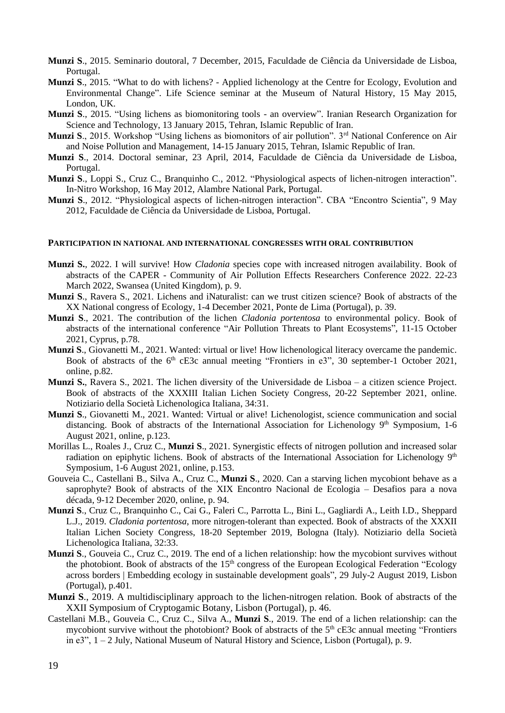**Munzi S**., 2015. Seminario doutoral, 7 December, 2015, Faculdade de Ciência da Universidade de Lisboa, Portugal.

- **Munzi S**., 2015. "What to do with lichens? Applied lichenology at the Centre for Ecology, Evolution and Environmental Change". Life Science seminar at the Museum of Natural History, 15 May 2015, London, UK.
- **Munzi S**., 2015. "Using lichens as biomonitoring tools an overview". Iranian Research Organization for Science and Technology, 13 January 2015, Tehran, Islamic Republic of Iran.
- Munzi S., 2015. Workshop "Using lichens as biomonitors of air pollution". 3<sup>rd</sup> National Conference on Air and Noise Pollution and Management, 14-15 January 2015, Tehran, Islamic Republic of Iran.
- **Munzi S**., 2014. Doctoral seminar, 23 April, 2014, Faculdade de Ciência da Universidade de Lisboa, Portugal.
- **Munzi S**., Loppi S., Cruz C., Branquinho C., 2012. "Physiological aspects of lichen-nitrogen interaction". In-Nitro Workshop, 16 May 2012, Alambre National Park, Portugal.
- **Munzi S**., 2012. "Physiological aspects of lichen-nitrogen interaction". CBA "Encontro Scientia", 9 May 2012, Faculdade de Ciência da Universidade de Lisboa, Portugal.

#### **PARTICIPATION IN NATIONAL AND INTERNATIONAL CONGRESSES WITH ORAL CONTRIBUTION**

- **Munzi S.**, 2022. I will survive! How *Cladonia* species cope with increased nitrogen availability. Book of abstracts of the CAPER - Community of Air Pollution Effects Researchers Conference 2022. 22-23 March 2022, Swansea (United Kingdom), p. 9.
- **Munzi S**., Ravera S., 2021. Lichens and iNaturalist: can we trust citizen science? Book of abstracts of the XX National congress of Ecology, 1-4 December 2021, Ponte de Lima (Portugal), p. 39.
- **Munzi S**., 2021. The contribution of the lichen *Cladonia portentosa* to environmental policy. Book of abstracts of the international conference "Air Pollution Threats to Plant Ecosystems", 11-15 October 2021, Cyprus, p.78.
- **Munzi S**., Giovanetti M., 2021. Wanted: virtual or live! How lichenological literacy overcame the pandemic. Book of abstracts of the 6<sup>th</sup> cE3c annual meeting "Frontiers in e3", 30 september-1 October 2021, online, p.82.
- **Munzi S.**, Ravera S., 2021. The lichen diversity of the Universidade de Lisboa a citizen science Project. Book of abstracts of the XXXIII Italian Lichen Society Congress, 20-22 September 2021, online. Notiziario della Società Lichenologica Italiana, 34:31.
- **Munzi S**., Giovanetti M., 2021. Wanted: Virtual or alive! Lichenologist, science communication and social distancing. Book of abstracts of the International Association for Lichenology  $9<sup>th</sup>$  Symposium, 1-6 August 2021, online, p.123.
- Morillas L., Roales J., Cruz C., **Munzi S**., 2021. Synergistic effects of nitrogen pollution and increased solar radiation on epiphytic lichens. Book of abstracts of the International Association for Lichenology  $9<sup>th</sup>$ Symposium, 1-6 August 2021, online, p.153.
- Gouveia C., Castellani B., Silva A., Cruz C., **Munzi S**., 2020. Can a starving lichen mycobiont behave as a saprophyte? Book of abstracts of the XIX Encontro Nacional de Ecologia – Desafios para a nova década, 9-12 December 2020, online, p. 94.
- **Munzi S**., Cruz C., Branquinho C., Cai G., Faleri C., Parrotta L., Bini L., Gagliardi A., Leith I.D., Sheppard L.J., 2019. *Cladonia portentosa*, more nitrogen-tolerant than expected. Book of abstracts of the XXXII Italian Lichen Society Congress, 18-20 September 2019, Bologna (Italy). Notiziario della Società Lichenologica Italiana, 32:33.
- **Munzi S**., Gouveia C., Cruz C., 2019. The end of a lichen relationship: how the mycobiont survives without the photobiont. Book of abstracts of the 15<sup>th</sup> congress of the European Ecological Federation "Ecology across borders | Embedding ecology in sustainable development goals", 29 July-2 August 2019, Lisbon (Portugal), p.401.
- **Munzi S**., 2019. A multidisciplinary approach to the lichen-nitrogen relation. Book of abstracts of the XXII Symposium of Cryptogamic Botany, Lisbon (Portugal), p. 46.
- Castellani M.B., Gouveia C., Cruz C., Silva A., **Munzi S**., 2019. The end of a lichen relationship: can the mycobiont survive without the photobiont? Book of abstracts of the  $5<sup>th</sup>$  cE3c annual meeting "Frontiers" in  $e^{3}$ ,  $1 - 2$  July, National Museum of Natural History and Science, Lisbon (Portugal), p. 9.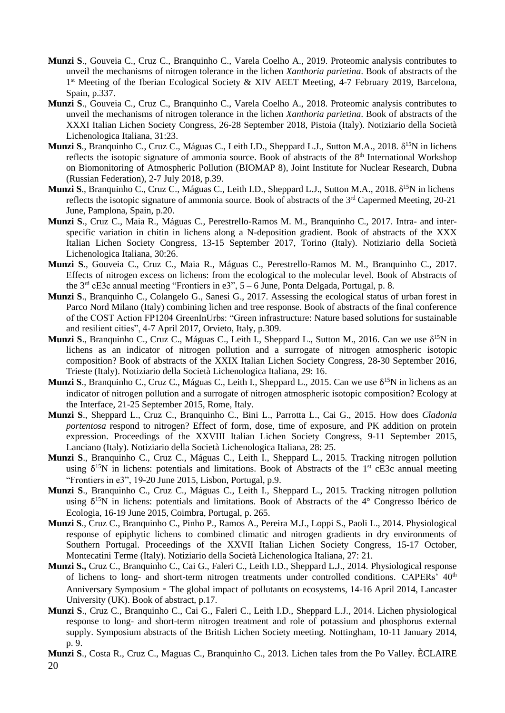- **Munzi S**., Gouveia C., Cruz C., Branquinho C., Varela Coelho A., 2019. Proteomic analysis contributes to unveil the mechanisms of nitrogen tolerance in the lichen *Xanthoria parietina*. Book of abstracts of the 1<sup>st</sup> Meeting of the Iberian Ecological Society & XIV AEET Meeting, 4-7 February 2019, Barcelona, Spain, p.337.
- **Munzi S**., Gouveia C., Cruz C., Branquinho C., Varela Coelho A., 2018. Proteomic analysis contributes to unveil the mechanisms of nitrogen tolerance in the lichen *Xanthoria parietina*. Book of abstracts of the XXXI Italian Lichen Society Congress, 26-28 September 2018, Pistoia (Italy). Notiziario della Società Lichenologica Italiana, 31:23.
- **Munzi S.**, Branquinho C., Cruz C., Máguas C., Leith I.D., Sheppard L.J., Sutton M.A., 2018. δ<sup>15</sup>N in lichens reflects the isotopic signature of ammonia source. Book of abstracts of the 8<sup>th</sup> International Workshop on Biomonitoring of Atmospheric Pollution (BIOMAP 8), Joint Institute for Nuclear Research, Dubna (Russian Federation), 2-7 July 2018, p.39.
- **Munzi S.**, Branquinho C., Cruz C., Máguas C., Leith I.D., Sheppard L.J., Sutton M.A., 2018. δ<sup>15</sup>N in lichens reflects the isotopic signature of ammonia source. Book of abstracts of the 3<sup>rd</sup> Capermed Meeting, 20-21 June, Pamplona, Spain, p.20.
- **Munzi S**., Cruz C., Maia R., Máguas C., Perestrello-Ramos M. M., Branquinho C., 2017. Intra- and interspecific variation in chitin in lichens along a N-deposition gradient. Book of abstracts of the XXX Italian Lichen Society Congress, 13-15 September 2017, Torino (Italy). Notiziario della Società Lichenologica Italiana, 30:26.
- **Munzi S**., Gouveia C., Cruz C., Maia R., Máguas C., Perestrello-Ramos M. M., Branquinho C., 2017. Effects of nitrogen excess on lichens: from the ecological to the molecular level. Book of Abstracts of the 3<sup>rd</sup> cE3c annual meeting "Frontiers in e3", 5 – 6 June, Ponta Delgada, Portugal, p. 8.
- **Munzi S**., Branquinho C., Colangelo G., Sanesi G., 2017. Assessing the ecological status of urban forest in Parco Nord Milano (Italy) combining lichen and tree response. Book of abstracts of the final conference of the COST Action FP1204 GreenInUrbs: "Green infrastructure: Nature based solutions for sustainable and resilient cities", 4-7 April 2017, Orvieto, Italy, p.309.
- **Munzi S.**, Branquinho C., Cruz C., Máguas C., Leith I., Sheppard L., Sutton M., 2016. Can we use δ<sup>15</sup>N in lichens as an indicator of nitrogen pollution and a surrogate of nitrogen atmospheric isotopic composition? Book of abstracts of the XXIX Italian Lichen Society Congress, 28-30 September 2016, Trieste (Italy). Notiziario della Società Lichenologica Italiana, 29: 16.
- **Munzi S**., Branquinho C., Cruz C., Máguas C., Leith I., Sheppard L., 2015. Can we use δ<sup>15</sup>N in lichens as an indicator of nitrogen pollution and a surrogate of nitrogen atmospheric isotopic composition? Ecology at the Interface, 21-25 September 2015, Rome, Italy.
- **Munzi S**., Sheppard L., Cruz C., Branquinho C., Bini L., Parrotta L., Cai G., 2015. How does *Cladonia portentosa* respond to nitrogen? Effect of form, dose, time of exposure, and PK addition on protein expression. Proceedings of the XXVIII Italian Lichen Society Congress, 9-11 September 2015, Lanciano (Italy). Notiziario della Società Lichenologica Italiana, 28: 25.
- **Munzi S**., Branquinho C., Cruz C., Máguas C., Leith I., Sheppard L., 2015. Tracking nitrogen pollution using δ<sup>15</sup>N in lichens: potentials and limitations. Book of Abstracts of the 1<sup>st</sup> cE3c annual meeting "Frontiers in e3", 19-20 June 2015, Lisbon, Portugal, p.9.
- **Munzi S**., Branquinho C., Cruz C., Máguas C., Leith I., Sheppard L., 2015. Tracking nitrogen pollution using δ<sup>15</sup>N in lichens: potentials and limitations. Book of Abstracts of the 4° Congresso Ibérico de Ecologia, 16-19 June 2015, Coimbra, Portugal, p. 265.
- **Munzi S**., Cruz C., Branquinho C., Pinho P., Ramos A., Pereira M.J., Loppi S., Paoli L., 2014. Physiological response of epiphytic lichens to combined climatic and nitrogen gradients in dry environments of Southern Portugal. Proceedings of the XXVII Italian Lichen Society Congress, 15-17 October, Montecatini Terme (Italy). Notiziario della Società Lichenologica Italiana, 27: 21.
- **Munzi S.,** Cruz C., Branquinho C., Cai G., Faleri C., Leith I.D., Sheppard L.J., 2014. Physiological response of lichens to long- and short-term nitrogen treatments under controlled conditions. CAPERs' 40<sup>th</sup> Anniversary Symposium - The global impact of pollutants on ecosystems, 14-16 April 2014, Lancaster University (UK). Book of abstract, p.17.
- **Munzi S**., Cruz C., Branquinho C., Cai G., Faleri C., Leith I.D., Sheppard L.J., 2014. Lichen physiological response to long- and short-term nitrogen treatment and role of potassium and phosphorus external supply. Symposium abstracts of the British Lichen Society meeting. Nottingham, 10-11 January 2014, p. 9.
- 20 **Munzi S**., Costa R., Cruz C., Maguas C., Branquinho C., 2013. Lichen tales from the Po Valley. ÈCLAIRE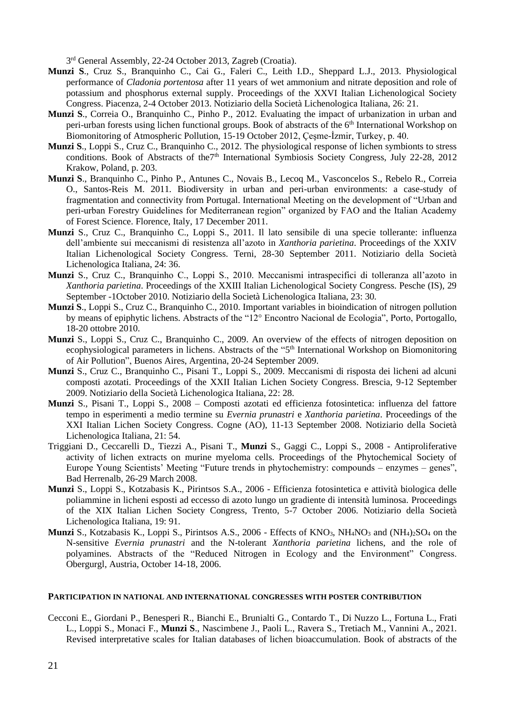3<sup>rd</sup> General Assembly, 22-24 October 2013, Zagreb (Croatia).

- **Munzi S**., Cruz S., Branquinho C., Cai G., Faleri C., Leith I.D., Sheppard L.J., 2013. Physiological performance of *Cladonia portentosa* after 11 years of wet ammonium and nitrate deposition and role of potassium and phosphorus external supply. Proceedings of the XXVI Italian Lichenological Society Congress. Piacenza, 2-4 October 2013. Notiziario della Società Lichenologica Italiana, 26: 21.
- **Munzi S**., Correia O., Branquinho C., Pinho P., 2012. Evaluating the impact of urbanization in urban and peri-urban forests using lichen functional groups. Book of abstracts of the 6<sup>th</sup> International Workshop on Biomonitoring of Atmospheric Pollution, 15-19 October 2012, Çeşme-İzmir, Turkey, p. 40.
- **Munzi S**., Loppi S., Cruz C., Branquinho C., 2012. The physiological response of lichen symbionts to stress conditions. Book of Abstracts of the<sup>7th</sup> International Symbiosis Society Congress, July 22-28, 2012 Krakow, Poland, p. 203.
- **Munzi S**., Branquinho C., Pinho P., Antunes C., Novais B., Lecoq M., Vasconcelos S., Rebelo R., Correia O., Santos-Reis M. 2011. Biodiversity in urban and peri-urban environments: a case-study of fragmentation and connectivity from Portugal. International Meeting on the development of "Urban and peri-urban Forestry Guidelines for Mediterranean region" organized by FAO and the Italian Academy of Forest Science. Florence, Italy, 17 December 2011.
- **Munzi** S., Cruz C., Branquinho C., Loppi S., 2011. Il lato sensibile di una specie tollerante: influenza dell'ambiente sui meccanismi di resistenza all'azoto in *Xanthoria parietina*. Proceedings of the XXIV Italian Lichenological Society Congress. Terni, 28-30 September 2011. Notiziario della Società Lichenologica Italiana, 24: 36.
- **Munzi** S., Cruz C., Branquinho C., Loppi S., 2010. Meccanismi intraspecifici di tolleranza all'azoto in *Xanthoria parietina*. Proceedings of the XXIII Italian Lichenological Society Congress. Pesche (IS), 29 September -1October 2010. Notiziario della Società Lichenologica Italiana, 23: 30.
- **Munzi S**., Loppi S., Cruz C., Branquinho C., 2010. Important variables in bioindication of nitrogen pollution by means of epiphytic lichens. Abstracts of the "12° Encontro Nacional de Ecologia", Porto, Portogallo, 18-20 ottobre 2010.
- **Munzi** S., Loppi S., Cruz C., Branquinho C., 2009. An overview of the effects of nitrogen deposition on ecophysiological parameters in lichens. Abstracts of the "5<sup>th</sup> International Workshop on Biomonitoring of Air Pollution", Buenos Aires, Argentina, 20-24 September 2009.
- **Munzi** S., Cruz C., Branquinho C., Pisani T., Loppi S., 2009. Meccanismi di risposta dei licheni ad alcuni composti azotati. Proceedings of the XXII Italian Lichen Society Congress. Brescia, 9-12 September 2009. Notiziario della Società Lichenologica Italiana, 22: 28.
- **Munzi** S., Pisani T., Loppi S., 2008 Composti azotati ed efficienza fotosintetica: influenza del fattore tempo in esperimenti a medio termine su *Evernia prunastri* e *Xanthoria parietina*. Proceedings of the XXI Italian Lichen Society Congress. Cogne (AO), 11-13 September 2008. Notiziario della Società Lichenologica Italiana, 21: 54.
- Triggiani D., Ceccarelli D., Tiezzi A., Pisani T., **Munzi** S., Gaggi C., Loppi S., 2008 Antiproliferative activity of lichen extracts on murine myeloma cells. Proceedings of the Phytochemical Society of Europe Young Scientists' Meeting "Future trends in phytochemistry: compounds – enzymes – genes", Bad Herrenalb, 26-29 March 2008.
- **Munzi** S., Loppi S., Kotzabasis K., Pirintsos S.A., 2006 Efficienza fotosintetica e attività biologica delle poliammine in licheni esposti ad eccesso di azoto lungo un gradiente di intensità luminosa. Proceedings of the XIX Italian Lichen Society Congress, Trento, 5-7 October 2006. Notiziario della Società Lichenologica Italiana, 19: 91.
- **Munzi** S., Kotzabasis K., Loppi S., Pirintsos A.S., 2006 Effects of KNO<sub>3</sub>, NH<sub>4</sub>NO<sub>3</sub> and (NH<sub>4</sub>)<sub>2</sub>SO<sub>4</sub> on the N-sensitive *Evernia prunastri* and the N-tolerant *Xanthoria parietina* lichens, and the role of polyamines. Abstracts of the "Reduced Nitrogen in Ecology and the Environment" Congress. Obergurgl, Austria, October 14-18, 2006.

#### **PARTICIPATION IN NATIONAL AND INTERNATIONAL CONGRESSES WITH POSTER CONTRIBUTION**

Cecconi E., Giordani P., Benesperi R., Bianchi E., Brunialti G., Contardo T., Di Nuzzo L., Fortuna L., Frati L., Loppi S., Monaci F., **Munzi S**., Nascimbene J., Paoli L., Ravera S., Tretiach M., Vannini A., 2021. Revised interpretative scales for Italian databases of lichen bioaccumulation. Book of abstracts of the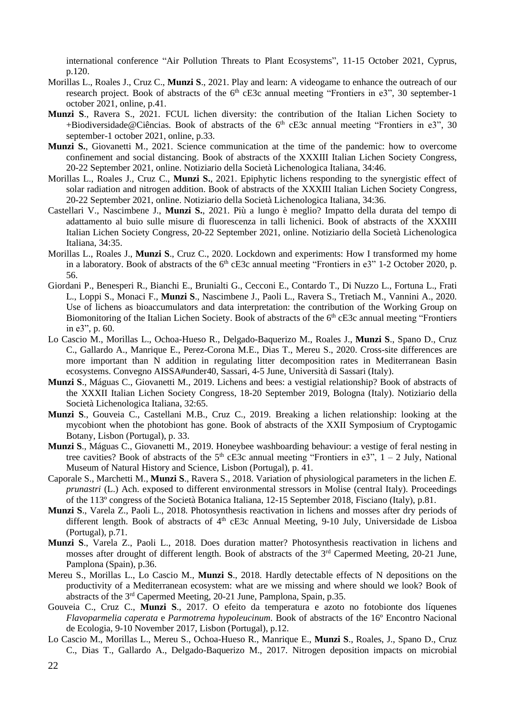international conference "Air Pollution Threats to Plant Ecosystems", 11-15 October 2021, Cyprus, p.120.

- Morillas L., Roales J., Cruz C., **Munzi S**., 2021. Play and learn: A videogame to enhance the outreach of our research project. Book of abstracts of the 6<sup>th</sup> cE3c annual meeting "Frontiers in e3", 30 september-1 october 2021, online, p.41.
- **Munzi S**., Ravera S., 2021. FCUL lichen diversity: the contribution of the Italian Lichen Society to +Biodiversidade@Ciências. Book of abstracts of the 6<sup>th</sup> cE3c annual meeting "Frontiers in e3", 30 september-1 october 2021, online, p.33.
- **Munzi S.**, Giovanetti M., 2021. Science communication at the time of the pandemic: how to overcome confinement and social distancing. Book of abstracts of the XXXIII Italian Lichen Society Congress, 20-22 September 2021, online. Notiziario della Società Lichenologica Italiana, 34:46.
- Morillas L., Roales J., Cruz C., **Munzi S.**, 2021. Epiphytic lichens responding to the synergistic effect of solar radiation and nitrogen addition. Book of abstracts of the XXXIII Italian Lichen Society Congress, 20-22 September 2021, online. Notiziario della Società Lichenologica Italiana, 34:36.
- Castellari V., Nascimbene J., **Munzi S.**, 2021. Più a lungo è meglio? Impatto della durata del tempo di adattamento al buio sulle misure di fluorescenza in talli lichenici. Book of abstracts of the XXXIII Italian Lichen Society Congress, 20-22 September 2021, online. Notiziario della Società Lichenologica Italiana, 34:35.
- Morillas L., Roales J., **Munzi S**., Cruz C., 2020. Lockdown and experiments: How I transformed my home in a laboratory. Book of abstracts of the 6<sup>th</sup> cE3c annual meeting "Frontiers in e3" 1-2 October 2020, p. 56.
- Giordani P., Benesperi R., Bianchi E., Brunialti G., Cecconi E., Contardo T., Di Nuzzo L., Fortuna L., Frati L., Loppi S., Monaci F., **Munzi S**., Nascimbene J., Paoli L., Ravera S., Tretiach M., Vannini A., 2020. Use of lichens as bioaccumulators and data interpretation: the contribution of the Working Group on Biomonitoring of the Italian Lichen Society. Book of abstracts of the 6<sup>th</sup> cE3c annual meeting "Frontiers in e3", p. 60.
- Lo Cascio M., Morillas L., Ochoa-Hueso R., Delgado-Baquerizo M., Roales J., **Munzi S**., Spano D., Cruz C., Gallardo A., Manrique E., Perez-Corona M.E., Dias T., Mereu S., 2020. Cross-site differences are more important than N addition in regulating litter decomposition rates in Mediterranean Basin ecosystems. Convegno AISSA#under40, Sassari, 4-5 June, Università di Sassari (Italy).
- **Munzi S**., Máguas C., Giovanetti M., 2019. Lichens and bees: a vestigial relationship? Book of abstracts of the XXXII Italian Lichen Society Congress, 18-20 September 2019, Bologna (Italy). Notiziario della Società Lichenologica Italiana, 32:65.
- **Munzi S**., Gouveia C., Castellani M.B., Cruz C., 2019. Breaking a lichen relationship: looking at the mycobiont when the photobiont has gone. Book of abstracts of the XXII Symposium of Cryptogamic Botany, Lisbon (Portugal), p. 33.
- **Munzi S**., Máguas C., Giovanetti M., 2019. Honeybee washboarding behaviour: a vestige of feral nesting in tree cavities? Book of abstracts of the  $5<sup>th</sup>$  cE3c annual meeting "Frontiers in e3",  $1 - 2$  July, National Museum of Natural History and Science, Lisbon (Portugal), p. 41.
- Caporale S., Marchetti M., **Munzi S**., Ravera S., 2018. Variation of physiological parameters in the lichen *E. prunastri* (L.) Ach. exposed to different environmental stressors in Molise (central Italy). Proceedings of the 113º congress of the Società Botanica Italiana, 12-15 September 2018, Fisciano (Italy), p.81.
- **Munzi S**., Varela Z., Paoli L., 2018. Photosynthesis reactivation in lichens and mosses after dry periods of different length. Book of abstracts of 4<sup>th</sup> cE3c Annual Meeting, 9-10 July, Universidade de Lisboa (Portugal), p.71.
- **Munzi S**., Varela Z., Paoli L., 2018. Does duration matter? Photosynthesis reactivation in lichens and mosses after drought of different length. Book of abstracts of the 3<sup>rd</sup> Capermed Meeting, 20-21 June, Pamplona (Spain), p.36.
- Mereu S., Morillas L., Lo Cascio M., **Munzi S**., 2018. Hardly detectable effects of N depositions on the productivity of a Mediterranean ecosystem: what are we missing and where should we look? Book of abstracts of the 3rd Capermed Meeting, 20-21 June, Pamplona, Spain, p.35.
- Gouveia C., Cruz C., **Munzi S**., 2017. O efeito da temperatura e azoto no fotobionte dos líquenes *Flavoparmelia caperata* e *Parmotrema hypoleucinum*. Book of abstracts of the 16º Encontro Nacional de Ecologia, 9-10 November 2017, Lisbon (Portugal), p.12.
- Lo Cascio M., Morillas L., Mereu S., Ochoa-Hueso R., Manrique E., **Munzi S**., Roales, J., Spano D., Cruz C., Dias T., Gallardo A., Delgado-Baquerizo M., 2017. Nitrogen deposition impacts on microbial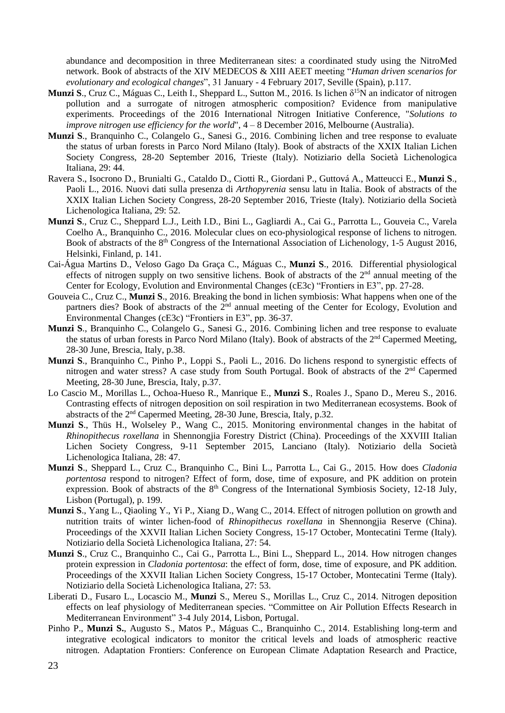abundance and decomposition in three Mediterranean sites: a coordinated study using the NitroMed network. Book of abstracts of the XIV MEDECOS & XIII AEET meeting "*Human driven scenarios for evolutionary and ecological changes*", 31 January - 4 February 2017, Seville (Spain), p.117.

- **Munzi S**., Cruz C., Máguas C., Leith I., Sheppard L., Sutton M., 2016. Is lichen δ<sup>15</sup>N an indicator of nitrogen pollution and a surrogate of nitrogen atmospheric composition? Evidence from manipulative experiments. Proceedings of the 2016 International Nitrogen Initiative Conference, "*Solutions to improve nitrogen use efficiency for the world*", 4 – 8 December 2016, Melbourne (Australia).
- **Munzi S**., Branquinho C., Colangelo G., Sanesi G., 2016. Combining lichen and tree response to evaluate the status of urban forests in Parco Nord Milano (Italy). Book of abstracts of the XXIX Italian Lichen Society Congress, 28-20 September 2016, Trieste (Italy). Notiziario della Società Lichenologica Italiana, 29: 44.
- Ravera S., Isocrono D., Brunialti G., Cataldo D., Ciotti R., Giordani P., Guttová A., Matteucci E., **Munzi S**., Paoli L., 2016. Nuovi dati sulla presenza di *Arthopyrenia* sensu latu in Italia. Book of abstracts of the XXIX Italian Lichen Society Congress, 28-20 September 2016, Trieste (Italy). Notiziario della Società Lichenologica Italiana, 29: 52.
- **Munzi S**., Cruz C., Sheppard L.J., Leith I.D., Bini L., Gagliardi A., Cai G., Parrotta L., Gouveia C., Varela Coelho A., Branquinho C., 2016. Molecular clues on eco-physiological response of lichens to nitrogen. Book of abstracts of the 8<sup>th</sup> Congress of the International Association of Lichenology, 1-5 August 2016, Helsinki, Finland, p. 141.
- Cai-Água Martins D., Veloso Gago Da Graça C., Máguas C., **Munzi S**., 2016. Differential physiological effects of nitrogen supply on two sensitive lichens. Book of abstracts of the  $2<sup>nd</sup>$  annual meeting of the Center for Ecology, Evolution and Environmental Changes (cE3c) "Frontiers in E3", pp. 27-28.
- Gouveia C., Cruz C., **Munzi S**., 2016. Breaking the bond in lichen symbiosis: What happens when one of the partners dies? Book of abstracts of the 2<sup>nd</sup> annual meeting of the Center for Ecology, Evolution and Environmental Changes (cE3c) "Frontiers in E3", pp. 36-37.
- **Munzi S**., Branquinho C., Colangelo G., Sanesi G., 2016. Combining lichen and tree response to evaluate the status of urban forests in Parco Nord Milano (Italy). Book of abstracts of the 2<sup>nd</sup> Capermed Meeting, 28-30 June, Brescia, Italy, p.38.
- **Munzi S**., Branquinho C., Pinho P., Loppi S., Paoli L., 2016. Do lichens respond to synergistic effects of nitrogen and water stress? A case study from South Portugal. Book of abstracts of the 2<sup>nd</sup> Capermed Meeting, 28-30 June, Brescia, Italy, p.37.
- Lo Cascio M., Morillas L., Ochoa-Hueso R., Manrique E., **Munzi S**., Roales J., Spano D., Mereu S., 2016. Contrasting effects of nitrogen deposition on soil respiration in two Mediterranean ecosystems. Book of abstracts of the 2<sup>nd</sup> Capermed Meeting, 28-30 June, Brescia, Italy, p.32.
- **Munzi S**., Thüs H., Wolseley P., Wang C., 2015. Monitoring environmental changes in the habitat of *Rhinopithecus roxellana* in Shennongjia Forestry District (China). Proceedings of the XXVIII Italian Lichen Society Congress, 9-11 September 2015, Lanciano (Italy). Notiziario della Società Lichenologica Italiana, 28: 47.
- **Munzi S**., Sheppard L., Cruz C., Branquinho C., Bini L., Parrotta L., Cai G., 2015. How does *Cladonia portentosa* respond to nitrogen? Effect of form, dose, time of exposure, and PK addition on protein expression. Book of abstracts of the 8<sup>th</sup> Congress of the International Symbiosis Society, 12-18 July, Lisbon (Portugal), p. 199.
- **Munzi S**., Yang L., Qiaoling Y., Yi P., Xiang D., Wang C., 2014. Effect of nitrogen pollution on growth and nutrition traits of winter lichen-food of *Rhinopithecus roxellana* in Shennongjia Reserve (China). Proceedings of the XXVII Italian Lichen Society Congress, 15-17 October, Montecatini Terme (Italy). Notiziario della Società Lichenologica Italiana, 27: 54.
- **Munzi S**., Cruz C., Branquinho C., Cai G., Parrotta L., Bini L., Sheppard L., 2014. How nitrogen changes protein expression in *Cladonia portentosa*: the effect of form, dose, time of exposure, and PK addition. Proceedings of the XXVII Italian Lichen Society Congress, 15-17 October, Montecatini Terme (Italy). Notiziario della Società Lichenologica Italiana, 27: 53.
- Liberati D., Fusaro L., Locascio M., **Munzi** S., Mereu S., Morillas L., Cruz C., 2014. Nitrogen deposition effects on leaf physiology of Mediterranean species. "Committee on Air Pollution Effects Research in Mediterranean Environment" 3-4 July 2014, Lisbon, Portugal.
- Pinho P., **Munzi S.**, Augusto S., Matos P., Máguas C., Branquinho C., 2014. Establishing long-term and integrative ecological indicators to monitor the critical levels and loads of atmospheric reactive nitrogen. Adaptation Frontiers: Conference on European Climate Adaptation Research and Practice,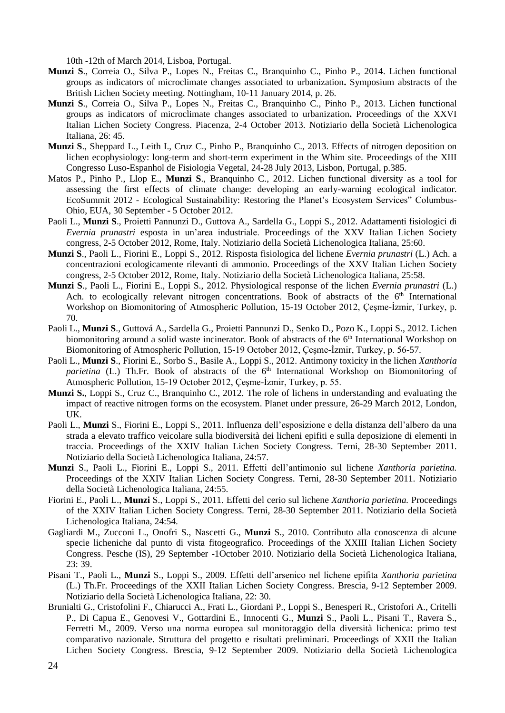10th -12th of March 2014, Lisboa, Portugal.

- **Munzi S**., Correia O., Silva P., Lopes N., Freitas C., Branquinho C., Pinho P., 2014. Lichen functional groups as indicators of microclimate changes associated to urbanization**.** Symposium abstracts of the British Lichen Society meeting. Nottingham, 10-11 January 2014, p. 26.
- **Munzi S**., Correia O., Silva P., Lopes N., Freitas C., Branquinho C., Pinho P., 2013. Lichen functional groups as indicators of microclimate changes associated to urbanization**.** Proceedings of the XXVI Italian Lichen Society Congress. Piacenza, 2-4 October 2013. Notiziario della Società Lichenologica Italiana, 26: 45.
- **Munzi S**., Sheppard L., Leith I., Cruz C., Pinho P., Branquinho C., 2013. Effects of nitrogen deposition on lichen ecophysiology: long-term and short-term experiment in the Whim site. Proceedings of the XIII Congresso Luso-Espanhol de Fisiologia Vegetal, 24-28 July 2013, Lisbon, Portugal, p.385.
- Matos P., Pinho P., Llop E., **Munzi S**., Branquinho C., 2012. Lichen functional diversity as a tool for assessing the first effects of climate change: developing an early-warning ecological indicator. EcoSummit 2012 - Ecological Sustainability: Restoring the Planet's Ecosystem Services" Columbus-Ohio, EUA, 30 September - 5 October 2012.
- Paoli L., **Munzi S**., Proietti Pannunzi D., Guttova A., Sardella G., Loppi S., 2012. Adattamenti fisiologici di *Evernia prunastri* esposta in un'area industriale. Proceedings of the XXV Italian Lichen Society congress, 2-5 October 2012, Rome, Italy. Notiziario della Società Lichenologica Italiana, 25:60.
- **Munzi S**., Paoli L., Fiorini E., Loppi S., 2012. Risposta fisiologica del lichene *Evernia prunastri* (L.) Ach. a concentrazioni ecologicamente rilevanti di ammonio. Proceedings of the XXV Italian Lichen Society congress, 2-5 October 2012, Rome, Italy. Notiziario della Società Lichenologica Italiana, 25:58.
- **Munzi S**., Paoli L., Fiorini E., Loppi S., 2012. Physiological response of the lichen *Evernia prunastri* (L.) Ach. to ecologically relevant nitrogen concentrations. Book of abstracts of the 6<sup>th</sup> International Workshop on Biomonitoring of Atmospheric Pollution, 15-19 October 2012, Cesme-İzmir, Turkey, p. 70.
- Paoli L., **Munzi S**., Guttová A., Sardella G., Proietti Pannunzi D., Senko D., Pozo K., Loppi S., 2012. Lichen biomonitoring around a solid waste incinerator. Book of abstracts of the 6<sup>th</sup> International Workshop on Biomonitoring of Atmospheric Pollution, 15-19 October 2012, Çeşme-İzmir, Turkey, p. 56-57.
- Paoli L., **Munzi S**., Fiorini E., Sorbo S., Basile A., Loppi S., 2012. Antimony toxicity in the lichen *Xanthoria parietina* (L.) Th.Fr. Book of abstracts of the 6<sup>th</sup> International Workshop on Biomonitoring of Atmospheric Pollution, 15-19 October 2012, Çeşme-İzmir, Turkey, p. 55.
- **Munzi S.**, Loppi S., Cruz C., Branquinho C., 2012. The role of lichens in understanding and evaluating the impact of reactive nitrogen forms on the ecosystem. Planet under pressure, 26-29 March 2012, London, UK.
- Paoli L., **Munzi** S., Fiorini E., Loppi S., 2011. Influenza dell'esposizione e della distanza dell'albero da una strada a elevato traffico veicolare sulla biodiversità dei licheni epifiti e sulla deposizione di elementi in traccia. Proceedings of the XXIV Italian Lichen Society Congress. Terni, 28-30 September 2011. Notiziario della Società Lichenologica Italiana, 24:57.
- **Munzi** S., Paoli L., Fiorini E., Loppi S., 2011. Effetti dell'antimonio sul lichene *Xanthoria parietina.* Proceedings of the XXIV Italian Lichen Society Congress. Terni, 28-30 September 2011. Notiziario della Società Lichenologica Italiana, 24:55.
- Fiorini E., Paoli L., **Munzi** S., Loppi S., 2011. Effetti del cerio sul lichene *Xanthoria parietina.* Proceedings of the XXIV Italian Lichen Society Congress. Terni, 28-30 September 2011. Notiziario della Società Lichenologica Italiana, 24:54.
- Gagliardi M., Zucconi L., Onofri S., Nascetti G., **Munzi** S., 2010. Contributo alla conoscenza di alcune specie licheniche dal punto di vista fitogeografico. Proceedings of the XXIII Italian Lichen Society Congress. Pesche (IS), 29 September -1October 2010. Notiziario della Società Lichenologica Italiana, 23: 39.
- Pisani T., Paoli L., **Munzi** S., Loppi S., 2009. Effetti dell'arsenico nel lichene epifita *Xanthoria parietina* (L.) Th.Fr. Proceedings of the XXII Italian Lichen Society Congress. Brescia, 9-12 September 2009. Notiziario della Società Lichenologica Italiana, 22: 30.
- Brunialti G., Cristofolini F., Chiarucci A., Frati L., Giordani P., Loppi S., Benesperi R., Cristofori A., Critelli P., Di Capua E., Genovesi V., Gottardini E., Innocenti G., **Munzi** S., Paoli L., Pisani T., Ravera S., Ferretti M., 2009. Verso una norma europea sul monitoraggio della diversità lichenica: primo test comparativo nazionale. Struttura del progetto e risultati preliminari. Proceedings of XXII the Italian Lichen Society Congress. Brescia, 9-12 September 2009. Notiziario della Società Lichenologica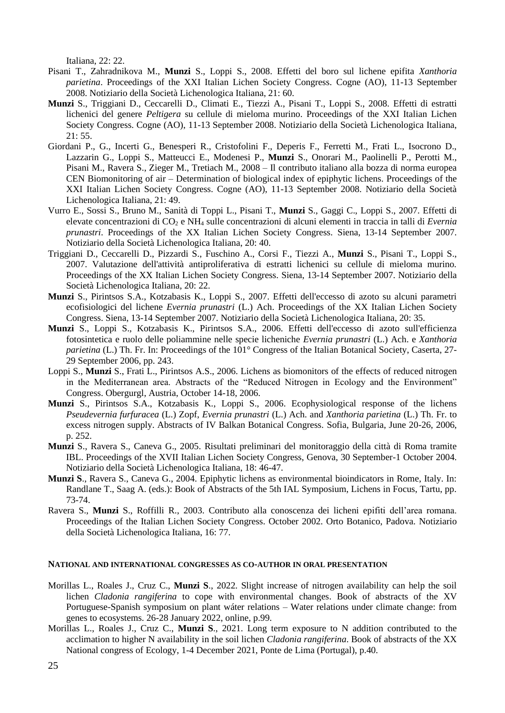Italiana, 22: 22.

- Pisani T., Zahradnikova M., **Munzi** S., Loppi S., 2008. Effetti del boro sul lichene epifita *Xanthoria parietina*. Proceedings of the XXI Italian Lichen Society Congress. Cogne (AO), 11-13 September 2008. Notiziario della Società Lichenologica Italiana, 21: 60.
- **Munzi** S., Triggiani D., Ceccarelli D., Climati E., Tiezzi A., Pisani T., Loppi S., 2008. Effetti di estratti lichenici del genere *Peltigera* su cellule di mieloma murino. Proceedings of the XXI Italian Lichen Society Congress. Cogne (AO), 11-13 September 2008. Notiziario della Società Lichenologica Italiana, 21: 55.
- Giordani P., G., Incerti G., Benesperi R., Cristofolini F., Deperis F., Ferretti M., Frati L., Isocrono D., Lazzarin G., Loppi S., Matteucci E., Modenesi P., **Munzi** S., Onorari M., Paolinelli P., Perotti M., Pisani M., Ravera S., Zieger M., Tretiach M., 2008 – Il contributo italiano alla bozza di norma europea CEN Biomonitoring of air – Determination of biological index of epiphytic lichens. Proceedings of the XXI Italian Lichen Society Congress. Cogne (AO), 11-13 September 2008. Notiziario della Società Lichenologica Italiana, 21: 49.
- Vurro E., Sossi S., Bruno M., Sanità di Toppi L., Pisani T., **Munzi** S., Gaggi C., Loppi S., 2007. Effetti di elevate concentrazioni di CO<sup>2</sup> e NH<sup>4</sup> sulle concentrazioni di alcuni elementi in traccia in talli di *Evernia prunastri*. Proceedings of the XX Italian Lichen Society Congress. Siena, 13-14 September 2007. Notiziario della Società Lichenologica Italiana, 20: 40.
- Triggiani D., Ceccarelli D., Pizzardi S., Fuschino A., Corsi F., Tiezzi A., **Munzi** S., Pisani T., Loppi S., 2007. Valutazione dell'attività antiproliferativa di estratti lichenici su cellule di mieloma murino. Proceedings of the XX Italian Lichen Society Congress. Siena, 13-14 September 2007. Notiziario della Società Lichenologica Italiana, 20: 22.
- **Munzi** S., Pirintsos S.A., Kotzabasis K., Loppi S., 2007. Effetti dell'eccesso di azoto su alcuni parametri ecofisiologici del lichene *Evernia prunastri* (L.) Ach. Proceedings of the XX Italian Lichen Society Congress. Siena, 13-14 September 2007. Notiziario della Società Lichenologica Italiana, 20: 35.
- **Munzi** S., Loppi S., Kotzabasis K., Pirintsos S.A., 2006. Effetti dell'eccesso di azoto sull'efficienza fotosintetica e ruolo delle poliammine nelle specie licheniche *Evernia prunastri* (L.) Ach. e *Xanthoria parietina* (L.) Th. Fr. In: Proceedings of the 101<sup>°</sup> Congress of the Italian Botanical Society, Caserta, 27-29 September 2006, pp. 243.
- Loppi S., **Munzi** S., Frati L., Pirintsos A.S., 2006. Lichens as biomonitors of the effects of reduced nitrogen in the Mediterranean area. Abstracts of the "Reduced Nitrogen in Ecology and the Environment" Congress. Obergurgl, Austria, October 14-18, 2006.
- **Munzi** S., Pirintsos S.A., Kotzabasis K., Loppi S., 2006. Ecophysiological response of the lichens *Pseudevernia furfuracea* (L.) Zopf, *Evernia prunastri* (L.) Ach. and *Xanthoria parietina* (L.) Th. Fr. to excess nitrogen supply. Abstracts of IV Balkan Botanical Congress. Sofia, Bulgaria, June 20-26, 2006, p. 252.
- **Munzi** S., Ravera S., Caneva G., 2005. Risultati preliminari del monitoraggio della città di Roma tramite IBL. Proceedings of the XVII Italian Lichen Society Congress, Genova, 30 September-1 October 2004. Notiziario della Società Lichenologica Italiana, 18: 46-47.
- **Munzi S**., Ravera S., Caneva G., 2004. Epiphytic lichens as environmental bioindicators in Rome, Italy. In: Randlane T., Saag A. (eds.): Book of Abstracts of the 5th IAL Symposium, Lichens in Focus, Tartu, pp. 73-74.
- Ravera S., **Munzi** S., Roffilli R., 2003. Contributo alla conoscenza dei licheni epifiti dell'area romana. Proceedings of the Italian Lichen Society Congress. October 2002. Orto Botanico, Padova. Notiziario della Società Lichenologica Italiana, 16: 77.

### **NATIONAL AND INTERNATIONAL CONGRESSES AS CO-AUTHOR IN ORAL PRESENTATION**

- Morillas L., Roales J., Cruz C., **Munzi S**., 2022. Slight increase of nitrogen availability can help the soil lichen *Cladonia rangiferina* to cope with environmental changes. Book of abstracts of the XV Portuguese-Spanish symposium on plant wáter relations – Water relations under climate change: from genes to ecosystems. 26-28 January 2022, online, p.99.
- Morillas L., Roales J., Cruz C., **Munzi S**., 2021. Long term exposure to N addition contributed to the acclimation to higher N availability in the soil lichen *Cladonia rangiferina*. Book of abstracts of the XX National congress of Ecology, 1-4 December 2021, Ponte de Lima (Portugal), p.40.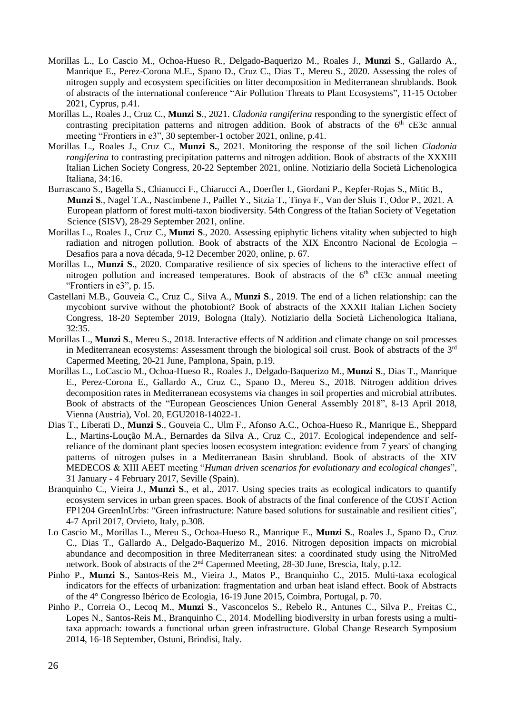- Morillas L., Lo Cascio M., Ochoa-Hueso R., Delgado-Baquerizo M., Roales J., **Munzi S**., Gallardo A., Manrique E., Perez-Corona M.E., Spano D., Cruz C., Dias T., Mereu S., 2020. Assessing the roles of nitrogen supply and ecosystem specificities on litter decomposition in Mediterranean shrublands. Book of abstracts of the international conference "Air Pollution Threats to Plant Ecosystems", 11-15 October 2021, Cyprus, p.41.
- Morillas L., Roales J., Cruz C., **Munzi S**., 2021. *Cladonia rangiferina* responding to the synergistic effect of contrasting precipitation patterns and nitrogen addition. Book of abstracts of the  $6<sup>th</sup>$  cE3c annual meeting "Frontiers in e3", 30 september-1 october 2021, online, p.41.
- Morillas L., Roales J., Cruz C., **Munzi S.**, 2021. Monitoring the response of the soil lichen *Cladonia rangiferina* to contrasting precipitation patterns and nitrogen addition. Book of abstracts of the XXXIII Italian Lichen Society Congress, 20-22 September 2021, online. Notiziario della Società Lichenologica Italiana, 34:16.
- Burrascano S., Bagella S., Chianucci F., Chiarucci A., Doerfler I., Giordani P., Kepfer-Rojas S., Mitic B., **Munzi S**., Nagel T.A., Nascimbene J., Paillet Y., Sitzia T., Tinya F., Van der Sluis T., Odor P., 2021. A European platform of forest multi-taxon biodiversity. 54th Congress of the Italian Society of Vegetation Science (SISV), 28-29 September 2021, online.
- Morillas L., Roales J., Cruz C., **Munzi S**., 2020. Assessing epiphytic lichens vitality when subjected to high radiation and nitrogen pollution. Book of abstracts of the XIX Encontro Nacional de Ecologia – Desafios para a nova década, 9-12 December 2020, online, p. 67.
- Morillas L., **Munzi S**., 2020. Comparative resilience of six species of lichens to the interactive effect of nitrogen pollution and increased temperatures. Book of abstracts of the  $6<sup>th</sup>$  cE3c annual meeting "Frontiers in e3", p. 15.
- Castellani M.B., Gouveia C., Cruz C., Silva A., **Munzi S**., 2019. The end of a lichen relationship: can the mycobiont survive without the photobiont? Book of abstracts of the XXXII Italian Lichen Society Congress, 18-20 September 2019, Bologna (Italy). Notiziario della Società Lichenologica Italiana, 32:35.
- Morillas L., **Munzi S**., Mereu S., 2018. Interactive effects of N addition and climate change on soil processes in Mediterranean ecosystems: Assessment through the biological soil crust. Book of abstracts of the 3<sup>rd</sup> Capermed Meeting, 20-21 June, Pamplona, Spain, p.19.
- Morillas L., LoCascio M., Ochoa-Hueso R., Roales J., Delgado-Baquerizo M., **Munzi S**., Dias T., Manrique E., Perez-Corona E., Gallardo A., Cruz C., Spano D., Mereu S., 2018. Nitrogen addition drives decomposition rates in Mediterranean ecosystems via changes in soil properties and microbial attributes. Book of abstracts of the "European Geosciences Union General Assembly 2018", 8-13 April 2018, Vienna (Austria), Vol. 20, EGU2018-14022-1.
- Dias T., Liberati D., **Munzi S**., Gouveia C., Ulm F., Afonso A.C., Ochoa-Hueso R., Manrique E., Sheppard L., Martins-Loução M.A., Bernardes da Silva A., Cruz C., 2017. Ecological independence and selfreliance of the dominant plant species loosen ecosystem integration: evidence from 7 years' of changing patterns of nitrogen pulses in a Mediterranean Basin shrubland. Book of abstracts of the XIV MEDECOS & XIII AEET meeting "*Human driven scenarios for evolutionary and ecological changes*", 31 January - 4 February 2017, Seville (Spain).
- Branquinho C., Vieira J., **Munzi S**., et al., 2017. Using species traits as ecological indicators to quantify ecosystem services in urban green spaces. Book of abstracts of the final conference of the COST Action FP1204 GreenInUrbs: "Green infrastructure: Nature based solutions for sustainable and resilient cities", 4-7 April 2017, Orvieto, Italy, p.308.
- Lo Cascio M., Morillas L., Mereu S., Ochoa-Hueso R., Manrique E., **Munzi S**., Roales J., Spano D., Cruz C., Dias T., Gallardo A., Delgado-Baquerizo M., 2016. Nitrogen deposition impacts on microbial abundance and decomposition in three Mediterranean sites: a coordinated study using the NitroMed network. Book of abstracts of the 2nd Capermed Meeting, 28-30 June, Brescia, Italy, p.12.
- Pinho P., **Munzi S**., Santos-Reis M., Vieira J., Matos P., Branquinho C., 2015. Multi-taxa ecological indicators for the effects of urbanization: fragmentation and urban heat island effect. Book of Abstracts of the 4° Congresso Ibérico de Ecologia, 16-19 June 2015, Coimbra, Portugal, p. 70.
- Pinho P., Correia O., Lecoq M., **Munzi S**., Vasconcelos S., Rebelo R., Antunes C., Silva P., Freitas C., Lopes N., Santos-Reis M., Branquinho C., 2014. Modelling biodiversity in urban forests using a multitaxa approach: towards a functional urban green infrastructure. Global Change Research Symposium 2014, 16-18 September, Ostuni, Brindisi, Italy.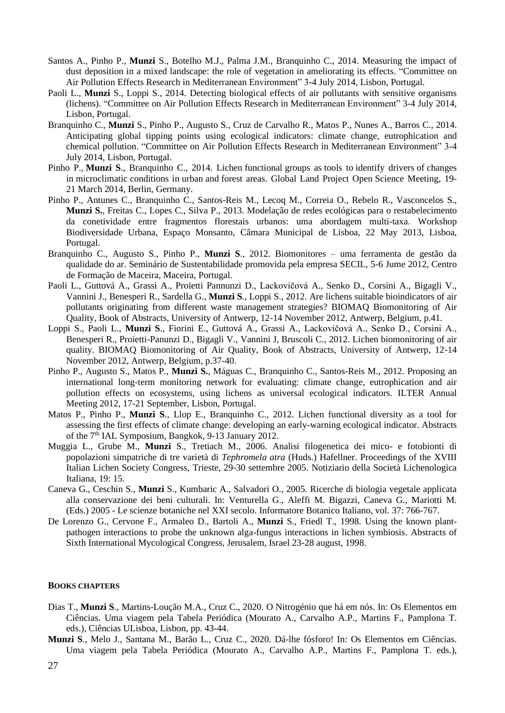- Santos A., Pinho P., **Munzi** S., Botelho M.J., Palma J.M., Branquinho C., 2014. Measuring the impact of dust deposition in a mixed landscape: the role of vegetation in ameliorating its effects. "Committee on Air Pollution Effects Research in Mediterranean Environment" 3-4 July 2014, Lisbon, Portugal.
- Paoli L., **Munzi** S., Loppi S., 2014. Detecting biological effects of air pollutants with sensitive organisms (lichens). "Committee on Air Pollution Effects Research in Mediterranean Environment" 3-4 July 2014, Lisbon, Portugal.
- Branquinho C., **Munzi** S., Pinho P., Augusto S., Cruz de Carvalho R., Matos P., Nunes A., Barros C., 2014. Anticipating global tipping points using ecological indicators: climate change, eutrophication and chemical pollution. "Committee on Air Pollution Effects Research in Mediterranean Environment" 3-4 July 2014, Lisbon, Portugal.
- Pinho P., **Munzi S**., Branquinho C., 2014. Lichen functional groups as tools to identify drivers of changes in microclimatic conditions in urban and forest areas. Global Land Project Open Science Meeting, 19- 21 March 2014, Berlin, Germany.
- Pinho P., Antunes C., Branquinho C., Santos-Reis M., Lecoq M., Correia O., Rebelo R., Vasconcelos S., **Munzi S.**, Freitas C., Lopes C., Silva P., 2013. Modelação de redes ecológicas para o restabelecimento da conetividade entre fragmentos florestais urbanos: uma abordagem multi-taxa. Workshop Biodiversidade Urbana, Espaço Monsanto, Câmara Municipal de Lisboa, 22 May 2013, Lisboa, Portugal.
- Branquinho C., Augusto S., Pinho P., **Munzi S**., 2012. Biomonitores uma ferramenta de gestão da qualidade do ar. Seminário de Sustentabilidade promovida pela empresa SECIL, 5-6 Jume 2012, Centro de Formação de Maceira, Maceira, Portugal.
- Paoli L., Guttová A., Grassi A., Proietti Pannunzi D., Lackovičová A., Senko D., Corsini A., Bigagli V., Vannini J., Benesperi R., Sardella G., **Munzi S**., Loppi S., 2012. Are lichens suitable bioindicators of air pollutants originating from different waste management strategies? BIOMAQ Biomonitoring of Air Quality, Book of Abstracts, University of Antwerp, 12-14 November 2012, Antwerp, Belgium, p.41.
- Loppi S., Paoli L., **Munzi S**., Fiorini E., Guttová A., Grassi A., Lackovičová A., Senko D., Corsini A., Benesperi R., Proietti-Panunzi D., Bigagli V., Vannini J, Bruscoli C., 2012. Lichen biomonitoring of air quality. BIOMAQ Biomonitoring of Air Quality, Book of Abstracts, University of Antwerp, 12-14 November 2012, Antwerp, Belgium, p.37-40.
- Pinho P., Augusto S., Matos P., **Munzi S.**, Máguas C., Branquinho C., Santos-Reis M., 2012. Proposing an international long-term monitoring network for evaluating: climate change, eutrophication and air pollution effects on ecosystems, using lichens as universal ecological indicators. ILTER Annual Meeting 2012, 17-21 September, Lisbon, Portugal.
- Matos P., Pinho P., **Munzi S**., Llop E., Branquinho C., 2012. Lichen functional diversity as a tool for assessing the first effects of climate change: developing an early-warning ecological indicator. Abstracts of the 7th IAL Symposium, Bangkok, 9-13 January 2012.
- Muggia L., Grube M., **Munzi** S., Tretiach M., 2006. Analisi filogenetica dei mico- e fotobionti di popolazioni simpatriche di tre varietà di *Tephromela atra* (Huds.) Hafellner. Proceedings of the XVIII Italian Lichen Society Congress, Trieste, 29-30 settembre 2005. Notiziario della Società Lichenologica Italiana, 19: 15.
- Caneva G., Ceschin S., **Munzi** S., Kumbaric A., Salvadori O., 2005. Ricerche di biologia vegetale applicata alla conservazione dei beni culturali. In: Venturella G., Aleffi M. Bigazzi, Caneva G., Mariotti M. (Eds.) 2005 - Le scienze botaniche nel XXI secolo. Informatore Botanico Italiano, vol. 37: 766-767.
- De Lorenzo G., Cervone F., Armaleo D., Bartoli A., **Munzi** S., Friedl T., 1998. Using the known plantpathogen interactions to probe the unknown alga-fungus interactions in lichen symbiosis. Abstracts of Sixth International Mycological Congress, Jerusalem, Israel 23-28 august, 1998.

#### **BOOKS CHAPTERS**

- Dias T., **Munzi S**., Martins-Loução M.A., Cruz C., 2020. O Nitrogénio que há em nós. In: Os Elementos em Ciências. Uma viagem pela Tabela Periódica (Mourato A., Carvalho A.P., Martins F., Pamplona T. eds.), Ciências ULisboa, Lisbon, pp. 43-44.
- **Munzi S**., Melo J., Santana M., Barão L., Cruz C., 2020. Dá-lhe fósforo! In: Os Elementos em Ciências. Uma viagem pela Tabela Periódica (Mourato A., Carvalho A.P., Martins F., Pamplona T. eds.),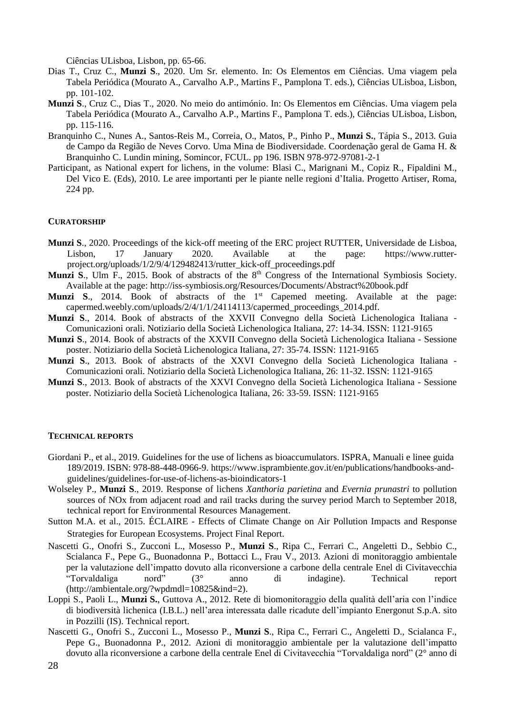Ciências ULisboa, Lisbon, pp. 65-66.

- Dias T., Cruz C., **Munzi S**., 2020. Um Sr. elemento. In: Os Elementos em Ciências. Uma viagem pela Tabela Periódica (Mourato A., Carvalho A.P., Martins F., Pamplona T. eds.), Ciências ULisboa, Lisbon, pp. 101-102.
- **Munzi S**., Cruz C., Dias T., 2020. No meio do antimónio. In: Os Elementos em Ciências. Uma viagem pela Tabela Periódica (Mourato A., Carvalho A.P., Martins F., Pamplona T. eds.), Ciências ULisboa, Lisbon, pp. 115-116.
- Branquinho C., Nunes A., Santos-Reis M., Correia, O., Matos, P., Pinho P., **Munzi S.**, Tápia S., 2013. Guia de Campo da Região de Neves Corvo. Uma Mina de Biodiversidade. Coordenação geral de Gama H. & Branquinho C. Lundin mining, Somincor, FCUL. pp 196. ISBN 978-972-97081-2-1
- Participant, as National expert for lichens, in the volume: Blasi C., Marignani M., Copiz R., Fipaldini M., Del Vico E. (Eds), 2010. Le aree importanti per le piante nelle regioni d'Italia. Progetto Artiser, Roma, 224 pp.

#### **CURATORSHIP**

- **Munzi S**., 2020. Proceedings of the kick-off meeting of the ERC project RUTTER, Universidade de Lisboa, Lisbon, 17 January 2020. Available at the page: https://www.rutterproject.org/uploads/1/2/9/4/129482413/rutter\_kick-off\_proceedings.pdf
- Munzi S., Ulm F., 2015. Book of abstracts of the 8<sup>th</sup> Congress of the International Symbiosis Society. Available at the page: http://iss-symbiosis.org/Resources/Documents/Abstract%20book.pdf
- Munzi S., 2014. Book of abstracts of the 1<sup>st</sup> Capemed meeting. Available at the page: capermed.weebly.com/uploads/2/4/1/1/24114113/capermed\_proceedings\_2014.pdf.
- **Munzi S**., 2014. Book of abstracts of the XXVII Convegno della Società Lichenologica Italiana Comunicazioni orali. Notiziario della Società Lichenologica Italiana, 27: 14-34. ISSN: 1121-9165
- **Munzi S**., 2014. Book of abstracts of the XXVII Convegno della Società Lichenologica Italiana Sessione poster. Notiziario della Società Lichenologica Italiana, 27: 35-74. ISSN: 1121-9165
- **Munzi S**., 2013. Book of abstracts of the XXVI Convegno della Società Lichenologica Italiana Comunicazioni orali. Notiziario della Società Lichenologica Italiana, 26: 11-32. ISSN: 1121-9165
- **Munzi S**., 2013. Book of abstracts of the XXVI Convegno della Società Lichenologica Italiana Sessione poster. Notiziario della Società Lichenologica Italiana, 26: 33-59. ISSN: 1121-9165

#### **TECHNICAL REPORTS**

- Giordani P., et al., 2019. Guidelines for the use of lichens as bioaccumulators. ISPRA, Manuali e linee guida 189/2019. ISBN: 978-88-448-0966-9. https://www.isprambiente.gov.it/en/publications/handbooks-andguidelines/guidelines-for-use-of-lichens-as-bioindicators-1
- Wolseley P., **Munzi S**., 2019. Response of lichens *Xanthoria parietina* and *Evernia prunastri* to pollution sources of NOx from adjacent road and rail tracks during the survey period March to September 2018, technical report for Environmental Resources Management.
- Sutton M.A. et al., 2015. ÉCLAIRE Effects of Climate Change on Air Pollution Impacts and Response Strategies for European Ecosystems. Project Final Report.
- Nascetti G., Onofri S., Zucconi L., Mosesso P., **Munzi S**., Ripa C., Ferrari C., Angeletti D., Sebbio C., Scialanca F., Pepe G., Buonadonna P., Bottacci L., Frau V., 2013. Azioni di monitoraggio ambientale per la valutazione dell'impatto dovuto alla riconversione a carbone della centrale Enel di Civitavecchia "Torvaldaliga nord" (3° anno di indagine). Technical report (http://ambientale.org/?wpdmdl=10825&ind=2).
- Loppi S., Paoli L., **Munzi S.**, Guttova A., 2012. Rete di biomonitoraggio della qualità dell'aria con l'indice di biodiversità lichenica (I.B.L.) nell'area interessata dalle ricadute dell'impianto Energonut S.p.A. sito in Pozzilli (IS). Technical report.
- Nascetti G., Onofri S., Zucconi L., Mosesso P., **Munzi S**., Ripa C., Ferrari C., Angeletti D., Scialanca F., Pepe G., Buonadonna P., 2012. Azioni di monitoraggio ambientale per la valutazione dell'impatto dovuto alla riconversione a carbone della centrale Enel di Civitavecchia "Torvaldaliga nord" (2° anno di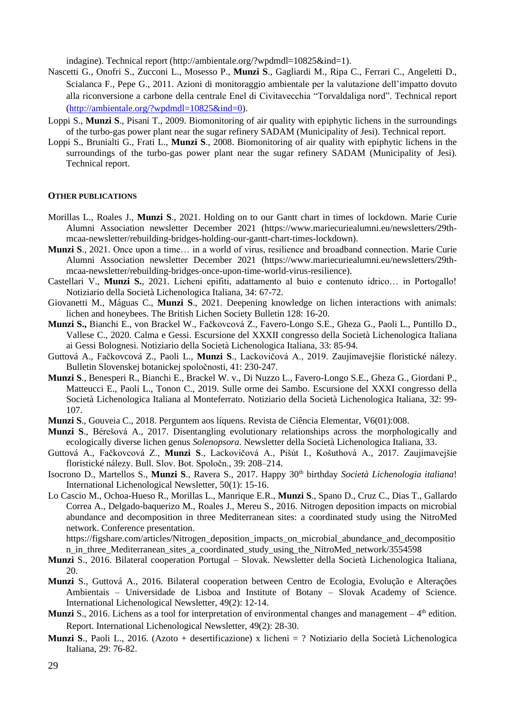indagine). Technical report (http://ambientale.org/?wpdmdl=10825&ind=1).

- Nascetti G., Onofri S., Zucconi L., Mosesso P., **Munzi S**., Gagliardi M., Ripa C., Ferrari C., Angeletti D., Scialanca F., Pepe G., 2011. Azioni di monitoraggio ambientale per la valutazione dell'impatto dovuto alla riconversione a carbone della centrale Enel di Civitavecchia "Torvaldaliga nord". Technical report [\(http://ambientale.org/?wpdmdl=10825&ind=0\)](http://ambientale.org/?wpdmdl=10825&ind=0).
- Loppi S., **Munzi S**., Pisani T., 2009. Biomonitoring of air quality with epiphytic lichens in the surroundings of the turbo-gas power plant near the sugar refinery SADAM (Municipality of Jesi). Technical report.
- Loppi S., Brunialti G., Frati L., **Munzi S**., 2008. Biomonitoring of air quality with epiphytic lichens in the surroundings of the turbo-gas power plant near the sugar refinery SADAM (Municipality of Jesi). Technical report.

#### **OTHER PUBLICATIONS**

- Morillas L., Roales J., **Munzi S**., 2021. Holding on to our Gantt chart in times of lockdown. Marie Curie Alumni Association newsletter December 2021 (https://www.mariecuriealumni.eu/newsletters/29thmcaa-newsletter/rebuilding-bridges-holding-our-gantt-chart-times-lockdown).
- **Munzi S**., 2021. Once upon a time… in a world of virus, resilience and broadband connection. Marie Curie Alumni Association newsletter December 2021 (https://www.mariecuriealumni.eu/newsletters/29thmcaa-newsletter/rebuilding-bridges-once-upon-time-world-virus-resilience).
- Castellari V., **Munzi S.**, 2021. Licheni epifiti, adattamento al buio e contenuto idrico… in Portogallo! Notiziario della Società Lichenologica Italiana, 34: 67-72.
- Giovanetti M., Máguas C., **Munzi S**., 2021. Deepening knowledge on lichen interactions with animals: lichen and honeybees. The British Lichen Society Bulletin 128: 16-20.
- **Munzi S.,** Bianchi E., von Brackel W., Fačkovcová Z., Favero-Longo S.E., Gheza G., Paoli L., Puntillo D., Vallese C., 2020. Calma e Gessi. Escursione del XXXII congresso della Società Lichenologica Italiana ai Gessi Bolognesi. Notiziario della Società Lichenologica Italiana, 33: 85-94.
- Guttová A., Fačkovcová Z., Paoli L., **Munzi S**., Lackovičová A., 2019. Zaujímavejšie floristické nálezy. Bulletin Slovenskej botanickej spoločnosti, 41: 230-247.
- **Munzi S**., Benesperi R., Bianchi E., Brackel W. v., Di Nuzzo L., Favero-Longo S.E., Gheza G., Giordani P., Matteucci E., Paoli L., Tonon C., 2019. Sulle orme dei Sambo. Escursione del XXXI congresso della Società Lichenologica Italiana al Monteferrato. Notiziario della Società Lichenologica Italiana, 32: 99- 107.
- **Munzi S**., Gouveia C., 2018. Perguntem aos líquens. Revista de Ciência Elementar, V6(01):008.
- **Munzi S**., Bérešová A., 2017. Disentangling evolutionary relationships across the morphologically and ecologically diverse lichen genus *Solenopsora*. Newsletter della Società Lichenologica Italiana, 33.
- Guttová A., Fačkovcová Z., **Munzi S**., Lackovičová A., Pišút I., Košuthová A., 2017. Zaujímavejšie floristické nálezy. Bull. Slov. Bot. Spoločn., 39: 208–214.
- Isocrono D., Martellos S., **Munzi S**., Ravera S., 2017. Happy 30th birthday *Società Lichenologia italiana*! International Lichenological Newsletter, 50(1): 15-16.
- [Lo Cascio](https://figshare.com/authors/_/2923206) M., Ochoa-Hueso R., Morillas L., Manrique E.R., **Munzi S**., Spano D., Cruz C., Dias T., Gallardo Correa A., [Delgado-baquerizo](https://figshare.com/authors/Manuel_Delgado_baquerizo/773080) M., Roales J., Mereu S., 2016. Nitrogen deposition impacts on microbial abundance and decomposition in three Mediterranean sites: a coordinated study using the NitroMed network. Conference presentation.

https://figshare.com/articles/Nitrogen\_deposition\_impacts\_on\_microbial\_abundance\_and\_decompositio n\_in\_three\_Mediterranean\_sites\_a\_coordinated\_study\_using\_the\_NitroMed\_network/3554598

- **Munzi** S., 2016. Bilateral cooperation Portugal Slovak. Newsletter della Società Lichenologica Italiana, 20.
- **Munzi** S., Guttová A., 2016. Bilateral cooperation between Centro de Ecologia, Evolução e Alterações Ambientais – Universidade de Lisboa and Institute of Botany – Slovak Academy of Science. International Lichenological Newsletter, 49(2): 12-14.
- **Munzi** S., 2016. Lichens as a tool for interpretation of environmental changes and management  $-4<sup>th</sup>$  edition. Report. International Lichenological Newsletter, 49(2): 28-30.
- **Munzi S**., Paoli L., 2016. (Azoto + desertificazione) x licheni = ? Notiziario della Società Lichenologica Italiana, 29: 76-82.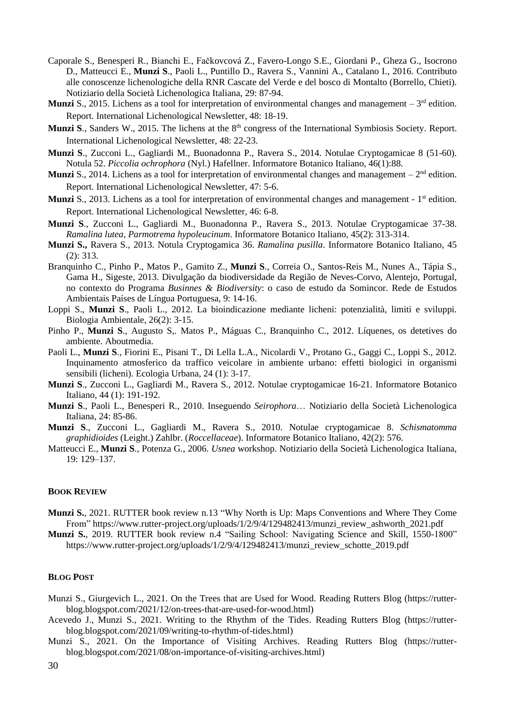- Caporale S., Benesperi R., Bianchi E., Fačkovcová Z., Favero-Longo S.E., Giordani P., Gheza G., Isocrono D., Matteucci E., **Munzi S**., Paoli L., Puntillo D., Ravera S., Vannini A., Catalano I., 2016. Contributo alle conoscenze lichenologiche della RNR Cascate del Verde e del bosco di Montalto (Borrello, Chieti). Notiziario della Società Lichenologica Italiana, 29: 87-94.
- **Munzi** S., 2015. Lichens as a tool for interpretation of environmental changes and management  $-3<sup>rd</sup>$  edition. Report. International Lichenological Newsletter, 48: 18-19.
- **Munzi S., Sanders W., 2015. The lichens at the 8<sup>th</sup> congress of the International Symbiosis Society. Report.** International Lichenological Newsletter, 48: 22-23.
- **Munzi S**., Zucconi L., Gagliardi M., Buonadonna P., Ravera S., 2014. Notulae Cryptogamicae 8 (51-60). Notula 52. *Piccolia ochrophora* (Nyl.) Hafellner. Informatore Botanico Italiano, 46(1):88.
- **Munzi** S., 2014. Lichens as a tool for interpretation of environmental changes and management  $-2<sup>nd</sup>$  edition. Report. International Lichenological Newsletter, 47: 5-6.
- Munzi S., 2013. Lichens as a tool for interpretation of environmental changes and management 1<sup>st</sup> edition. Report. International Lichenological Newsletter, 46: 6-8.
- **Munzi S**., Zucconi L., Gagliardi M., Buonadonna P., Ravera S., 2013. Notulae Cryptogamicae 37-38. *Ramalina lutea*, *Parmotrema hypoleucinum*. Informatore Botanico Italiano, 45(2): 313-314.
- **Munzi S.,** Ravera S., 2013. Notula Cryptogamica 36. *Ramalina pusilla*. Informatore Botanico Italiano, 45 (2): 313.
- Branquinho C., Pinho P., Matos P., Gamito Z., **Munzi S**., Correia O., Santos-Reis M., Nunes A., Tápia S., Gama H., Sigeste, 2013. Divulgação da biodiversidade da Região de Neves-Corvo, Alentejo, Portugal, no contexto do Programa *Businnes & Biodiversity*: o caso de estudo da Somincor. Rede de Estudos Ambientais Países de Língua Portuguesa, 9: 14-16.
- Loppi S., **Munzi S**., Paoli L., 2012. La bioindicazione mediante licheni: potenzialità, limiti e sviluppi. Biologia Ambientale, 26(2): 3-15.
- Pinho P., **Munzi S**., Augusto S,. Matos P., Máguas C., Branquinho C., 2012. Líquenes, os detetives do ambiente. Aboutmedia.
- Paoli L., **Munzi S**., Fiorini E., Pisani T., Di Lella L.A., Nicolardi V., Protano G., Gaggi C., Loppi S., 2012. Inquinamento atmosferico da traffico veicolare in ambiente urbano: effetti biologici in organismi sensibili (licheni). Ecologia Urbana, 24 (1): 3-17.
- **Munzi S**., Zucconi L., Gagliardi M., Ravera S., 2012. Notulae cryptogamicae 16-21. Informatore Botanico Italiano, 44 (1): 191-192.
- **Munzi S**., Paoli L., Benesperi R., 2010. Inseguendo *Seirophora*… Notiziario della Società Lichenologica Italiana, 24: 85-86.
- **Munzi S**., Zucconi L., Gagliardi M., Ravera S., 2010. Notulae cryptogamicae 8. *Schismatomma graphidioides* (Leight.) Zahlbr. (*Roccellaceae*). Informatore Botanico Italiano, 42(2): 576.
- Matteucci E., **Munzi S**., Potenza G., 2006. *Usnea* workshop. Notiziario della Società Lichenologica Italiana, 19: 129–137.

#### **BOOK REVIEW**

- **Munzi S.**, 2021. RUTTER book review n.13 "Why North is Up: Maps Conventions and Where They Come From" https://www.rutter-project.org/uploads/1/2/9/4/129482413/munzi\_review\_ashworth\_2021.pdf
- **Munzi S.**, 2019. RUTTER book review n.4 "Sailing School: Navigating Science and Skill, 1550-1800" https://www.rutter-project.org/uploads/1/2/9/4/129482413/munzi\_review\_schotte\_2019.pdf

#### **BLOG POST**

- Munzi S., Giurgevich L., 2021. On the Trees that are Used for Wood. Reading Rutters Blog (https://rutterblog.blogspot.com/2021/12/on-trees-that-are-used-for-wood.html)
- Acevedo J., Munzi S., 2021. Writing to the Rhythm of the Tides. Reading Rutters Blog (https://rutterblog.blogspot.com/2021/09/writing-to-rhythm-of-tides.html)
- Munzi S., 2021. On the Importance of Visiting Archives. Reading Rutters Blog (https://rutterblog.blogspot.com/2021/08/on-importance-of-visiting-archives.html)